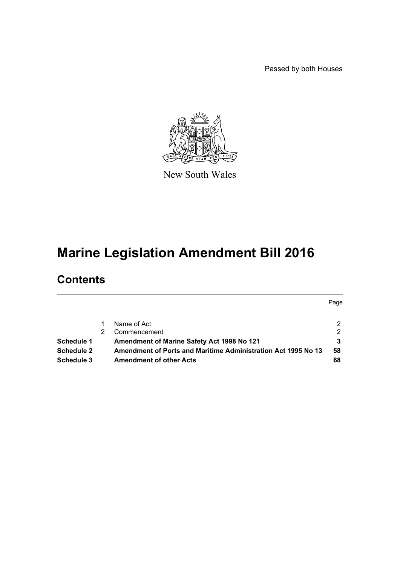Passed by both Houses



New South Wales

# **Marine Legislation Amendment Bill 2016**

# **Contents**

|                   |                                                               | Page |
|-------------------|---------------------------------------------------------------|------|
|                   | Name of Act                                                   |      |
|                   | Commencement                                                  | っ    |
| Schedule 1        | Amendment of Marine Safety Act 1998 No 121                    |      |
| <b>Schedule 2</b> | Amendment of Ports and Maritime Administration Act 1995 No 13 | 58   |
| <b>Schedule 3</b> | <b>Amendment of other Acts</b>                                | 68   |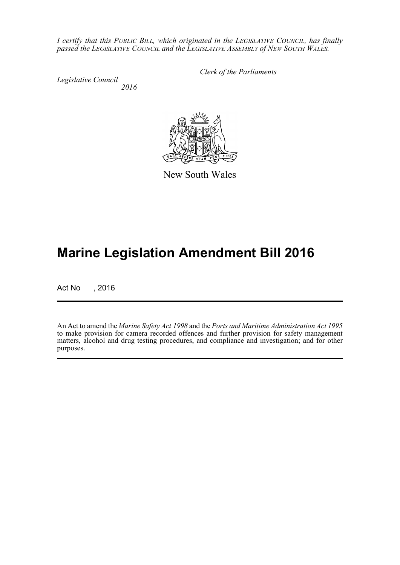*I certify that this PUBLIC BILL, which originated in the LEGISLATIVE COUNCIL, has finally passed the LEGISLATIVE COUNCIL and the LEGISLATIVE ASSEMBLY of NEW SOUTH WALES.*

*Legislative Council 2016* *Clerk of the Parliaments*



New South Wales

# **Marine Legislation Amendment Bill 2016**

Act No , 2016

An Act to amend the *Marine Safety Act 1998* and the *Ports and Maritime Administration Act 1995* to make provision for camera recorded offences and further provision for safety management matters, alcohol and drug testing procedures, and compliance and investigation; and for other purposes.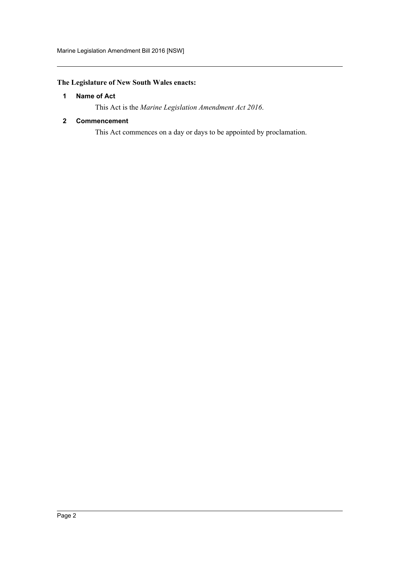# <span id="page-2-0"></span>**The Legislature of New South Wales enacts:**

# **1 Name of Act**

This Act is the *Marine Legislation Amendment Act 2016*.

# <span id="page-2-1"></span>**2 Commencement**

This Act commences on a day or days to be appointed by proclamation.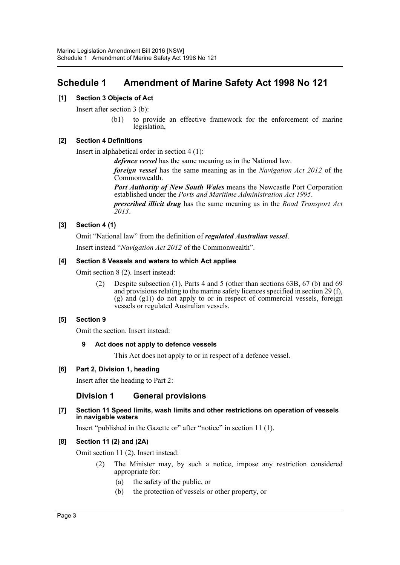# <span id="page-3-0"></span>**Schedule 1 Amendment of Marine Safety Act 1998 No 121**

# **[1] Section 3 Objects of Act**

Insert after section 3 (b):

(b1) to provide an effective framework for the enforcement of marine legislation,

# **[2] Section 4 Definitions**

Insert in alphabetical order in section 4 (1):

*defence vessel* has the same meaning as in the National law.

*foreign vessel* has the same meaning as in the *Navigation Act 2012* of the Commonwealth.

*Port Authority of New South Wales* means the Newcastle Port Corporation established under the *Ports and Maritime Administration Act 1995*.

*prescribed illicit drug* has the same meaning as in the *Road Transport Act 2013*.

# **[3] Section 4 (1)**

Omit "National law" from the definition of *regulated Australian vessel*.

Insert instead "*Navigation Act 2012* of the Commonwealth".

# **[4] Section 8 Vessels and waters to which Act applies**

Omit section 8 (2). Insert instead:

(2) Despite subsection (1), Parts 4 and 5 (other than sections 63B, 67 (b) and 69 and provisions relating to the marine safety licences specified in section 29 (f), (g) and (g1)) do not apply to or in respect of commercial vessels, foreign vessels or regulated Australian vessels.

# **[5] Section 9**

Omit the section. Insert instead:

# **9 Act does not apply to defence vessels**

This Act does not apply to or in respect of a defence vessel.

# **[6] Part 2, Division 1, heading**

Insert after the heading to Part 2:

# **Division 1 General provisions**

**[7] Section 11 Speed limits, wash limits and other restrictions on operation of vessels in navigable waters**

Insert "published in the Gazette or" after "notice" in section 11 (1).

# **[8] Section 11 (2) and (2A)**

Omit section 11 (2). Insert instead:

- (2) The Minister may, by such a notice, impose any restriction considered appropriate for:
	- (a) the safety of the public, or
	- (b) the protection of vessels or other property, or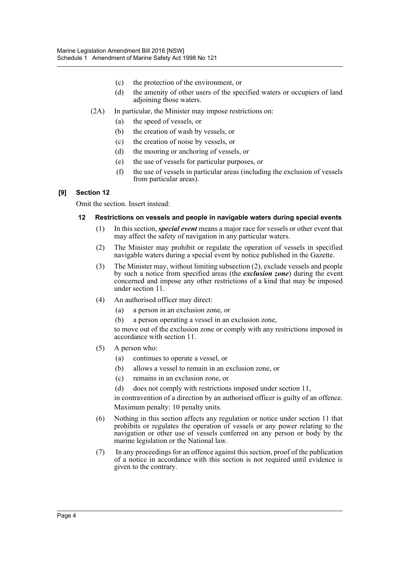- (c) the protection of the environment, or
- (d) the amenity of other users of the specified waters or occupiers of land adioining those waters.
- (2A) In particular, the Minister may impose restrictions on:
	- (a) the speed of vessels, or
	- (b) the creation of wash by vessels, or
	- (c) the creation of noise by vessels, or
	- (d) the mooring or anchoring of vessels, or
	- (e) the use of vessels for particular purposes, or
	- (f) the use of vessels in particular areas (including the exclusion of vessels from particular areas).

# **[9] Section 12**

Omit the section. Insert instead:

# **12 Restrictions on vessels and people in navigable waters during special events**

- (1) In this section, *special event* means a major race for vessels or other event that may affect the safety of navigation in any particular waters.
- (2) The Minister may prohibit or regulate the operation of vessels in specified navigable waters during a special event by notice published in the Gazette.
- (3) The Minister may, without limiting subsection (2), exclude vessels and people by such a notice from specified areas (the *exclusion zone*) during the event concerned and impose any other restrictions of a kind that may be imposed under section 11.
- (4) An authorised officer may direct:
	- (a) a person in an exclusion zone, or
	- (b) a person operating a vessel in an exclusion zone,

to move out of the exclusion zone or comply with any restrictions imposed in accordance with section 11.

- (5) A person who:
	- (a) continues to operate a vessel, or
	- (b) allows a vessel to remain in an exclusion zone, or
	- (c) remains in an exclusion zone, or
	- (d) does not comply with restrictions imposed under section 11,

in contravention of a direction by an authorised officer is guilty of an offence. Maximum penalty: 10 penalty units.

- (6) Nothing in this section affects any regulation or notice under section 11 that prohibits or regulates the operation of vessels or any power relating to the navigation or other use of vessels conferred on any person or body by the marine legislation or the National law.
- (7) In any proceedings for an offence against this section, proof of the publication of a notice in accordance with this section is not required until evidence is given to the contrary.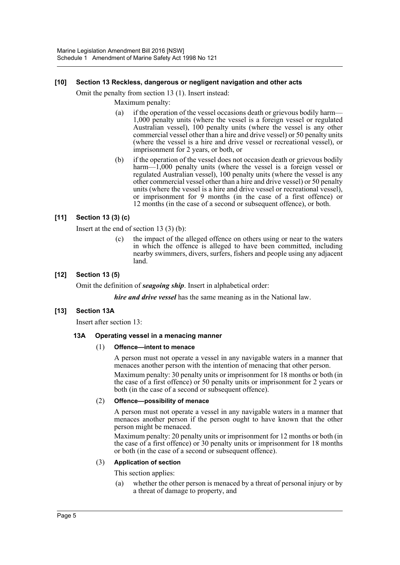# **[10] Section 13 Reckless, dangerous or negligent navigation and other acts**

Omit the penalty from section 13 (1). Insert instead:

Maximum penalty:

- (a) if the operation of the vessel occasions death or grievous bodily harm— 1,000 penalty units (where the vessel is a foreign vessel or regulated Australian vessel), 100 penalty units (where the vessel is any other commercial vessel other than a hire and drive vessel) or 50 penalty units (where the vessel is a hire and drive vessel or recreational vessel), or imprisonment for 2 years, or both, or
- (b) if the operation of the vessel does not occasion death or grievous bodily harm—1,000 penalty units (where the vessel is a foreign vessel or regulated Australian vessel), 100 penalty units (where the vessel is any other commercial vessel other than a hire and drive vessel) or 50 penalty units (where the vessel is a hire and drive vessel or recreational vessel), or imprisonment for 9 months (in the case of a first offence) or 12 months (in the case of a second or subsequent offence), or both.

# **[11] Section 13 (3) (c)**

Insert at the end of section 13 (3) (b):

(c) the impact of the alleged offence on others using or near to the waters in which the offence is alleged to have been committed, including nearby swimmers, divers, surfers, fishers and people using any adjacent land.

# **[12] Section 13 (5)**

Omit the definition of *seagoing ship*. Insert in alphabetical order:

*hire and drive vessel* has the same meaning as in the National law.

# **[13] Section 13A**

Insert after section 13:

# **13A Operating vessel in a menacing manner**

# (1) **Offence—intent to menace**

A person must not operate a vessel in any navigable waters in a manner that menaces another person with the intention of menacing that other person.

Maximum penalty: 30 penalty units or imprisonment for 18 months or both (in the case of a first offence) or 50 penalty units or imprisonment for 2 years or both (in the case of a second or subsequent offence).

# (2) **Offence—possibility of menace**

A person must not operate a vessel in any navigable waters in a manner that menaces another person if the person ought to have known that the other person might be menaced.

Maximum penalty: 20 penalty units or imprisonment for 12 months or both (in the case of a first offence) or 30 penalty units or imprisonment for 18 months or both (in the case of a second or subsequent offence).

# (3) **Application of section**

This section applies:

(a) whether the other person is menaced by a threat of personal injury or by a threat of damage to property, and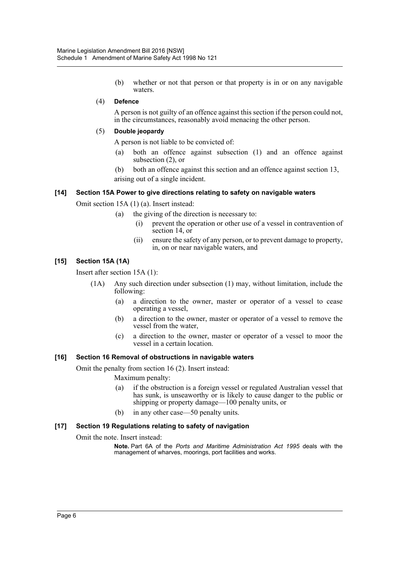(b) whether or not that person or that property is in or on any navigable waters.

# (4) **Defence**

A person is not guilty of an offence against this section if the person could not, in the circumstances, reasonably avoid menacing the other person.

# (5) **Double jeopardy**

A person is not liable to be convicted of:

- (a) both an offence against subsection (1) and an offence against subsection (2), or
- (b) both an offence against this section and an offence against section 13, arising out of a single incident.

# **[14] Section 15A Power to give directions relating to safety on navigable waters**

Omit section 15A (1) (a). Insert instead:

- (a) the giving of the direction is necessary to:
	- (i) prevent the operation or other use of a vessel in contravention of section 14, or
	- (ii) ensure the safety of any person, or to prevent damage to property, in, on or near navigable waters, and

# **[15] Section 15A (1A)**

Insert after section 15A (1):

- (1A) Any such direction under subsection (1) may, without limitation, include the following:
	- (a) a direction to the owner, master or operator of a vessel to cease operating a vessel,
	- (b) a direction to the owner, master or operator of a vessel to remove the vessel from the water,
	- (c) a direction to the owner, master or operator of a vessel to moor the vessel in a certain location.

# **[16] Section 16 Removal of obstructions in navigable waters**

Omit the penalty from section 16 (2). Insert instead:

Maximum penalty:

- (a) if the obstruction is a foreign vessel or regulated Australian vessel that has sunk, is unseaworthy or is likely to cause danger to the public or shipping or property damage—100 penalty units, or
- (b) in any other case—50 penalty units.

# **[17] Section 19 Regulations relating to safety of navigation**

Omit the note. Insert instead:

**Note.** Part 6A of the *Ports and Maritime Administration Act 1995* deals with the management of wharves, moorings, port facilities and works.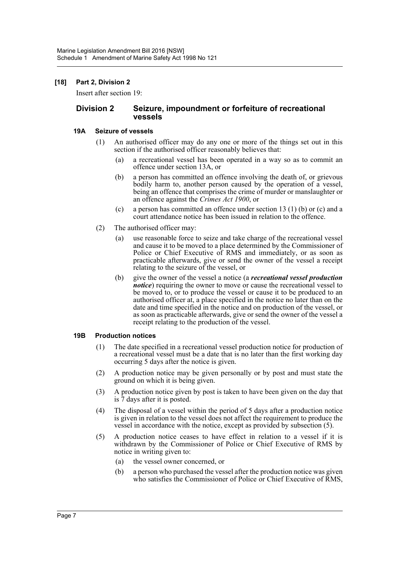# **[18] Part 2, Division 2**

Insert after section 19:

# **Division 2 Seizure, impoundment or forfeiture of recreational vessels**

#### **19A Seizure of vessels**

- (1) An authorised officer may do any one or more of the things set out in this section if the authorised officer reasonably believes that:
	- (a) a recreational vessel has been operated in a way so as to commit an offence under section 13A, or
	- (b) a person has committed an offence involving the death of, or grievous bodily harm to, another person caused by the operation of a vessel, being an offence that comprises the crime of murder or manslaughter or an offence against the *Crimes Act 1900*, or
	- (c) a person has committed an offence under section 13 (1) (b) or (c) and a court attendance notice has been issued in relation to the offence.
- (2) The authorised officer may:
	- (a) use reasonable force to seize and take charge of the recreational vessel and cause it to be moved to a place determined by the Commissioner of Police or Chief Executive of RMS and immediately, or as soon as practicable afterwards, give or send the owner of the vessel a receipt relating to the seizure of the vessel, or
	- (b) give the owner of the vessel a notice (a *recreational vessel production notice*) requiring the owner to move or cause the recreational vessel to be moved to, or to produce the vessel or cause it to be produced to an authorised officer at, a place specified in the notice no later than on the date and time specified in the notice and on production of the vessel, or as soon as practicable afterwards, give or send the owner of the vessel a receipt relating to the production of the vessel.

# **19B Production notices**

- (1) The date specified in a recreational vessel production notice for production of a recreational vessel must be a date that is no later than the first working day occurring 5 days after the notice is given.
- (2) A production notice may be given personally or by post and must state the ground on which it is being given.
- (3) A production notice given by post is taken to have been given on the day that is 7 days after it is posted.
- (4) The disposal of a vessel within the period of 5 days after a production notice is given in relation to the vessel does not affect the requirement to produce the vessel in accordance with the notice, except as provided by subsection (5).
- (5) A production notice ceases to have effect in relation to a vessel if it is withdrawn by the Commissioner of Police or Chief Executive of RMS by notice in writing given to:
	- (a) the vessel owner concerned, or
	- (b) a person who purchased the vessel after the production notice was given who satisfies the Commissioner of Police or Chief Executive of RMS,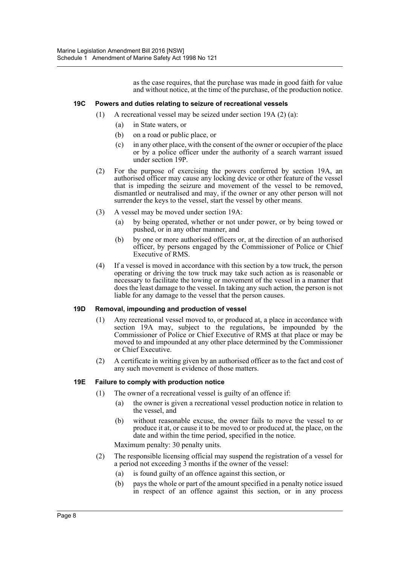as the case requires, that the purchase was made in good faith for value and without notice, at the time of the purchase, of the production notice.

#### **19C Powers and duties relating to seizure of recreational vessels**

- (1) A recreational vessel may be seized under section 19A (2) (a):
	- (a) in State waters, or
	- (b) on a road or public place, or
	- (c) in any other place, with the consent of the owner or occupier of the place or by a police officer under the authority of a search warrant issued under section 19P.
- (2) For the purpose of exercising the powers conferred by section 19A, an authorised officer may cause any locking device or other feature of the vessel that is impeding the seizure and movement of the vessel to be removed, dismantled or neutralised and may, if the owner or any other person will not surrender the keys to the vessel, start the vessel by other means.
- (3) A vessel may be moved under section 19A:
	- (a) by being operated, whether or not under power, or by being towed or pushed, or in any other manner, and
	- (b) by one or more authorised officers or, at the direction of an authorised officer, by persons engaged by the Commissioner of Police or Chief Executive of RMS.
- (4) If a vessel is moved in accordance with this section by a tow truck, the person operating or driving the tow truck may take such action as is reasonable or necessary to facilitate the towing or movement of the vessel in a manner that does the least damage to the vessel. In taking any such action, the person is not liable for any damage to the vessel that the person causes.

# **19D Removal, impounding and production of vessel**

- (1) Any recreational vessel moved to, or produced at, a place in accordance with section 19A may, subject to the regulations, be impounded by the Commissioner of Police or Chief Executive of RMS at that place or may be moved to and impounded at any other place determined by the Commissioner or Chief Executive.
- (2) A certificate in writing given by an authorised officer as to the fact and cost of any such movement is evidence of those matters.

#### **19E Failure to comply with production notice**

- (1) The owner of a recreational vessel is guilty of an offence if:
	- (a) the owner is given a recreational vessel production notice in relation to the vessel, and
	- (b) without reasonable excuse, the owner fails to move the vessel to or produce it at, or cause it to be moved to or produced at, the place, on the date and within the time period, specified in the notice.

Maximum penalty: 30 penalty units.

- (2) The responsible licensing official may suspend the registration of a vessel for a period not exceeding 3 months if the owner of the vessel:
	- (a) is found guilty of an offence against this section, or
	- (b) pays the whole or part of the amount specified in a penalty notice issued in respect of an offence against this section, or in any process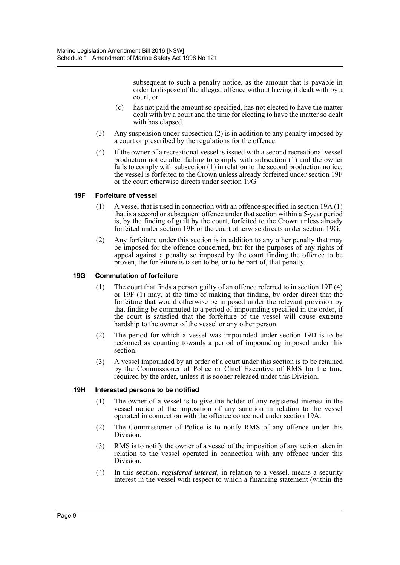subsequent to such a penalty notice, as the amount that is payable in order to dispose of the alleged offence without having it dealt with by a court, or

- (c) has not paid the amount so specified, has not elected to have the matter dealt with by a court and the time for electing to have the matter so dealt with has elapsed.
- (3) Any suspension under subsection (2) is in addition to any penalty imposed by a court or prescribed by the regulations for the offence.
- (4) If the owner of a recreational vessel is issued with a second recreational vessel production notice after failing to comply with subsection (1) and the owner fails to comply with subsection (1) in relation to the second production notice, the vessel is forfeited to the Crown unless already forfeited under section 19F or the court otherwise directs under section 19G.

# **19F Forfeiture of vessel**

- (1) A vessel that is used in connection with an offence specified in section 19A (1) that is a second or subsequent offence under that section within a 5-year period is, by the finding of guilt by the court, forfeited to the Crown unless already forfeited under section 19E or the court otherwise directs under section 19G.
- (2) Any forfeiture under this section is in addition to any other penalty that may be imposed for the offence concerned, but for the purposes of any rights of appeal against a penalty so imposed by the court finding the offence to be proven, the forfeiture is taken to be, or to be part of, that penalty.

# **19G Commutation of forfeiture**

- (1) The court that finds a person guilty of an offence referred to in section 19E (4) or 19F (1) may, at the time of making that finding, by order direct that the forfeiture that would otherwise be imposed under the relevant provision by that finding be commuted to a period of impounding specified in the order, if the court is satisfied that the forfeiture of the vessel will cause extreme hardship to the owner of the vessel or any other person.
- (2) The period for which a vessel was impounded under section 19D is to be reckoned as counting towards a period of impounding imposed under this section.
- (3) A vessel impounded by an order of a court under this section is to be retained by the Commissioner of Police or Chief Executive of RMS for the time required by the order, unless it is sooner released under this Division.

# **19H Interested persons to be notified**

- (1) The owner of a vessel is to give the holder of any registered interest in the vessel notice of the imposition of any sanction in relation to the vessel operated in connection with the offence concerned under section 19A.
- (2) The Commissioner of Police is to notify RMS of any offence under this Division.
- (3) RMS is to notify the owner of a vessel of the imposition of any action taken in relation to the vessel operated in connection with any offence under this Division.
- (4) In this section, *registered interest*, in relation to a vessel, means a security interest in the vessel with respect to which a financing statement (within the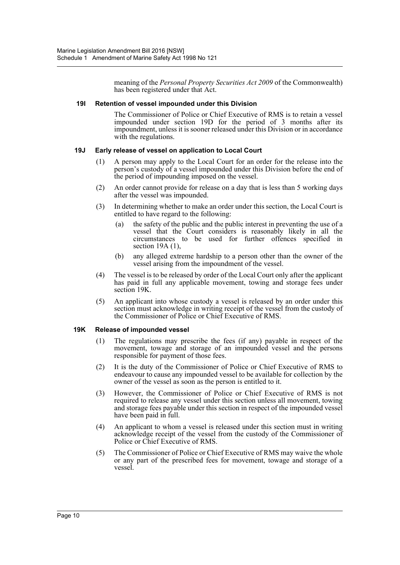meaning of the *Personal Property Securities Act 2009* of the Commonwealth) has been registered under that Act.

# **19I Retention of vessel impounded under this Division**

The Commissioner of Police or Chief Executive of RMS is to retain a vessel impounded under section 19D for the period of 3 months after its impoundment, unless it is sooner released under this Division or in accordance with the regulations.

# **19J Early release of vessel on application to Local Court**

- (1) A person may apply to the Local Court for an order for the release into the person's custody of a vessel impounded under this Division before the end of the period of impounding imposed on the vessel.
- (2) An order cannot provide for release on a day that is less than 5 working days after the vessel was impounded.
- (3) In determining whether to make an order under this section, the Local Court is entitled to have regard to the following:
	- (a) the safety of the public and the public interest in preventing the use of a vessel that the Court considers is reasonably likely in all the circumstances to be used for further offences specified in section 19A (1),
	- (b) any alleged extreme hardship to a person other than the owner of the vessel arising from the impoundment of the vessel.
- (4) The vessel is to be released by order of the Local Court only after the applicant has paid in full any applicable movement, towing and storage fees under section 19K.
- (5) An applicant into whose custody a vessel is released by an order under this section must acknowledge in writing receipt of the vessel from the custody of the Commissioner of Police or Chief Executive of RMS.

# **19K Release of impounded vessel**

- (1) The regulations may prescribe the fees (if any) payable in respect of the movement, towage and storage of an impounded vessel and the persons responsible for payment of those fees.
- (2) It is the duty of the Commissioner of Police or Chief Executive of RMS to endeavour to cause any impounded vessel to be available for collection by the owner of the vessel as soon as the person is entitled to it.
- (3) However, the Commissioner of Police or Chief Executive of RMS is not required to release any vessel under this section unless all movement, towing and storage fees payable under this section in respect of the impounded vessel have been paid in full.
- (4) An applicant to whom a vessel is released under this section must in writing acknowledge receipt of the vessel from the custody of the Commissioner of Police or Chief Executive of RMS.
- (5) The Commissioner of Police or Chief Executive of RMS may waive the whole or any part of the prescribed fees for movement, towage and storage of a vessel.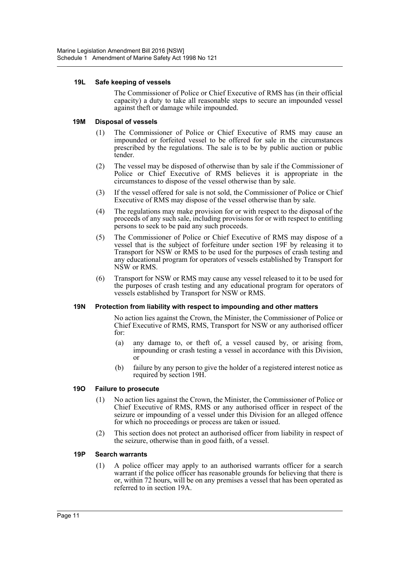# **19L Safe keeping of vessels**

The Commissioner of Police or Chief Executive of RMS has (in their official capacity) a duty to take all reasonable steps to secure an impounded vessel against theft or damage while impounded.

# **19M Disposal of vessels**

- (1) The Commissioner of Police or Chief Executive of RMS may cause an impounded or forfeited vessel to be offered for sale in the circumstances prescribed by the regulations. The sale is to be by public auction or public tender.
- (2) The vessel may be disposed of otherwise than by sale if the Commissioner of Police or Chief Executive of RMS believes it is appropriate in the circumstances to dispose of the vessel otherwise than by sale.
- (3) If the vessel offered for sale is not sold, the Commissioner of Police or Chief Executive of RMS may dispose of the vessel otherwise than by sale.
- (4) The regulations may make provision for or with respect to the disposal of the proceeds of any such sale, including provisions for or with respect to entitling persons to seek to be paid any such proceeds.
- (5) The Commissioner of Police or Chief Executive of RMS may dispose of a vessel that is the subject of forfeiture under section 19F by releasing it to Transport for NSW or RMS to be used for the purposes of crash testing and any educational program for operators of vessels established by Transport for NSW or RMS.
- (6) Transport for NSW or RMS may cause any vessel released to it to be used for the purposes of crash testing and any educational program for operators of vessels established by Transport for NSW or RMS.

#### **19N Protection from liability with respect to impounding and other matters**

No action lies against the Crown, the Minister, the Commissioner of Police or Chief Executive of RMS, RMS, Transport for NSW or any authorised officer for:

- (a) any damage to, or theft of, a vessel caused by, or arising from, impounding or crash testing a vessel in accordance with this Division, or
- (b) failure by any person to give the holder of a registered interest notice as required by section 19H.

# **19O Failure to prosecute**

- (1) No action lies against the Crown, the Minister, the Commissioner of Police or Chief Executive of RMS, RMS or any authorised officer in respect of the seizure or impounding of a vessel under this Division for an alleged offence for which no proceedings or process are taken or issued.
- (2) This section does not protect an authorised officer from liability in respect of the seizure, otherwise than in good faith, of a vessel.

# **19P Search warrants**

(1) A police officer may apply to an authorised warrants officer for a search warrant if the police officer has reasonable grounds for believing that there is or, within 72 hours, will be on any premises a vessel that has been operated as referred to in section 19A.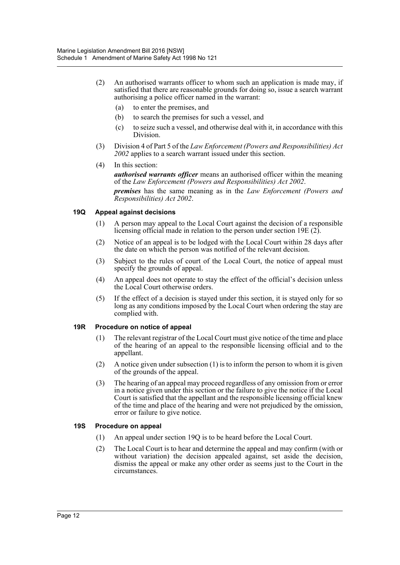- (2) An authorised warrants officer to whom such an application is made may, if satisfied that there are reasonable grounds for doing so, issue a search warrant authorising a police officer named in the warrant:
	- (a) to enter the premises, and
	- (b) to search the premises for such a vessel, and
	- (c) to seize such a vessel, and otherwise deal with it, in accordance with this Division.
- (3) Division 4 of Part 5 of the *Law Enforcement (Powers and Responsibilities) Act 2002* applies to a search warrant issued under this section.
- (4) In this section:

*authorised warrants officer* means an authorised officer within the meaning of the *Law Enforcement (Powers and Responsibilities) Act 2002*. *premises* has the same meaning as in the *Law Enforcement (Powers and Responsibilities) Act 2002*.

# **19Q Appeal against decisions**

- (1) A person may appeal to the Local Court against the decision of a responsible licensing official made in relation to the person under section 19E (2).
- (2) Notice of an appeal is to be lodged with the Local Court within 28 days after the date on which the person was notified of the relevant decision.
- (3) Subject to the rules of court of the Local Court, the notice of appeal must specify the grounds of appeal.
- (4) An appeal does not operate to stay the effect of the official's decision unless the Local Court otherwise orders.
- (5) If the effect of a decision is stayed under this section, it is stayed only for so long as any conditions imposed by the Local Court when ordering the stay are complied with.

# **19R Procedure on notice of appeal**

- (1) The relevant registrar of the Local Court must give notice of the time and place of the hearing of an appeal to the responsible licensing official and to the appellant.
- (2) A notice given under subsection (1) is to inform the person to whom it is given of the grounds of the appeal.
- (3) The hearing of an appeal may proceed regardless of any omission from or error in a notice given under this section or the failure to give the notice if the Local Court is satisfied that the appellant and the responsible licensing official knew of the time and place of the hearing and were not prejudiced by the omission, error or failure to give notice.

# **19S Procedure on appeal**

- (1) An appeal under section 19Q is to be heard before the Local Court.
- (2) The Local Court is to hear and determine the appeal and may confirm (with or without variation) the decision appealed against, set aside the decision, dismiss the appeal or make any other order as seems just to the Court in the circumstances.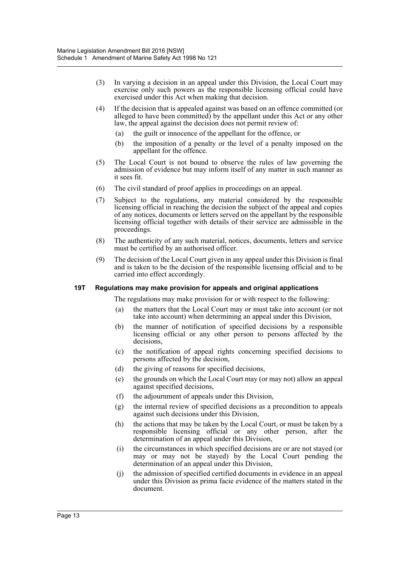- (3) In varying a decision in an appeal under this Division, the Local Court may exercise only such powers as the responsible licensing official could have exercised under this Act when making that decision.
- (4) If the decision that is appealed against was based on an offence committed (or alleged to have been committed) by the appellant under this Act or any other law, the appeal against the decision does not permit review of:
	- (a) the guilt or innocence of the appellant for the offence, or
	- (b) the imposition of a penalty or the level of a penalty imposed on the appellant for the offence.
- (5) The Local Court is not bound to observe the rules of law governing the admission of evidence but may inform itself of any matter in such manner as it sees fit.
- (6) The civil standard of proof applies in proceedings on an appeal.
- (7) Subject to the regulations, any material considered by the responsible licensing official in reaching the decision the subject of the appeal and copies of any notices, documents or letters served on the appellant by the responsible licensing official together with details of their service are admissible in the proceedings.
- (8) The authenticity of any such material, notices, documents, letters and service must be certified by an authorised officer.
- (9) The decision of the Local Court given in any appeal under this Division is final and is taken to be the decision of the responsible licensing official and to be carried into effect accordingly.

# **19T Regulations may make provision for appeals and original applications**

The regulations may make provision for or with respect to the following:

- (a) the matters that the Local Court may or must take into account (or not take into account) when determining an appeal under this Division,
- (b) the manner of notification of specified decisions by a responsible licensing official or any other person to persons affected by the decisions,
- (c) the notification of appeal rights concerning specified decisions to persons affected by the decision,
- (d) the giving of reasons for specified decisions,
- (e) the grounds on which the Local Court may (or may not) allow an appeal against specified decisions,
- (f) the adjournment of appeals under this Division,
- (g) the internal review of specified decisions as a precondition to appeals against such decisions under this Division,
- (h) the actions that may be taken by the Local Court, or must be taken by a responsible licensing official or any other person, after the determination of an appeal under this Division,
- (i) the circumstances in which specified decisions are or are not stayed (or may or may not be stayed) by the Local Court pending the determination of an appeal under this Division,
- (j) the admission of specified certified documents in evidence in an appeal under this Division as prima facie evidence of the matters stated in the document.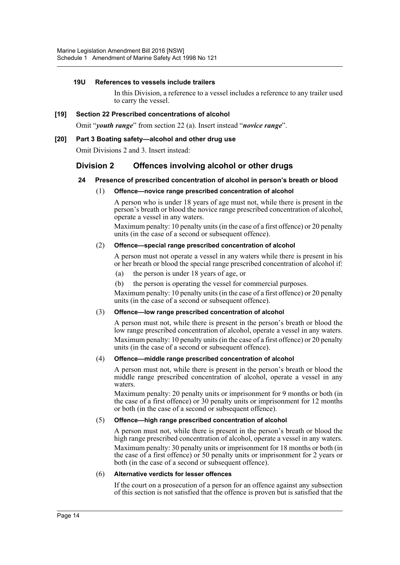# **19U References to vessels include trailers**

In this Division, a reference to a vessel includes a reference to any trailer used to carry the vessel.

#### **[19] Section 22 Prescribed concentrations of alcohol**

Omit "*youth range*" from section 22 (a). Insert instead "*novice range*".

#### **[20] Part 3 Boating safety—alcohol and other drug use**

Omit Divisions 2 and 3. Insert instead:

# **Division 2 Offences involving alcohol or other drugs**

#### **24 Presence of prescribed concentration of alcohol in person's breath or blood**

#### (1) **Offence—novice range prescribed concentration of alcohol**

A person who is under 18 years of age must not, while there is present in the person's breath or blood the novice range prescribed concentration of alcohol, operate a vessel in any waters.

Maximum penalty: 10 penalty units (in the case of a first offence) or 20 penalty units (in the case of a second or subsequent offence).

# (2) **Offence—special range prescribed concentration of alcohol**

A person must not operate a vessel in any waters while there is present in his or her breath or blood the special range prescribed concentration of alcohol if:

- (a) the person is under 18 years of age, or
- (b) the person is operating the vessel for commercial purposes.

Maximum penalty: 10 penalty units (in the case of a first offence) or 20 penalty units (in the case of a second or subsequent offence).

#### (3) **Offence—low range prescribed concentration of alcohol**

A person must not, while there is present in the person's breath or blood the low range prescribed concentration of alcohol, operate a vessel in any waters. Maximum penalty: 10 penalty units (in the case of a first offence) or 20 penalty units (in the case of a second or subsequent offence).

#### (4) **Offence—middle range prescribed concentration of alcohol**

A person must not, while there is present in the person's breath or blood the middle range prescribed concentration of alcohol, operate a vessel in any waters.

Maximum penalty: 20 penalty units or imprisonment for 9 months or both (in the case of a first offence) or 30 penalty units or imprisonment for 12 months or both (in the case of a second or subsequent offence).

#### (5) **Offence—high range prescribed concentration of alcohol**

A person must not, while there is present in the person's breath or blood the high range prescribed concentration of alcohol, operate a vessel in any waters. Maximum penalty: 30 penalty units or imprisonment for 18 months or both (in the case of a first offence) or 50 penalty units or imprisonment for 2 years or both (in the case of a second or subsequent offence).

#### (6) **Alternative verdicts for lesser offences**

If the court on a prosecution of a person for an offence against any subsection of this section is not satisfied that the offence is proven but is satisfied that the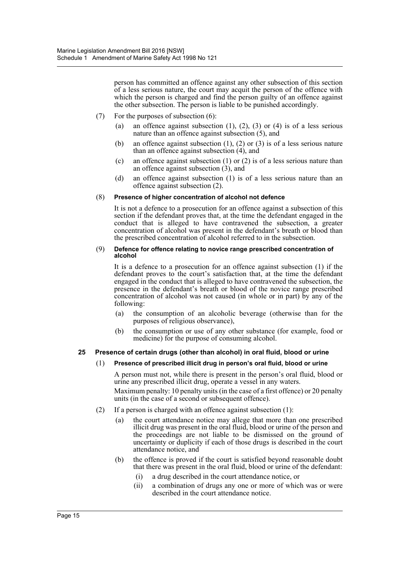person has committed an offence against any other subsection of this section of a less serious nature, the court may acquit the person of the offence with which the person is charged and find the person guilty of an offence against the other subsection. The person is liable to be punished accordingly.

- (7) For the purposes of subsection (6):
	- (a) an offence against subsection  $(1)$ ,  $(2)$ ,  $(3)$  or  $(4)$  is of a less serious nature than an offence against subsection (5), and
	- (b) an offence against subsection (1), (2) or (3) is of a less serious nature than an offence against subsection (4), and
	- (c) an offence against subsection (1) or (2) is of a less serious nature than an offence against subsection  $(3)$ , and
	- (d) an offence against subsection (1) is of a less serious nature than an offence against subsection (2).

# (8) **Presence of higher concentration of alcohol not defence**

It is not a defence to a prosecution for an offence against a subsection of this section if the defendant proves that, at the time the defendant engaged in the conduct that is alleged to have contravened the subsection, a greater concentration of alcohol was present in the defendant's breath or blood than the prescribed concentration of alcohol referred to in the subsection.

#### (9) **Defence for offence relating to novice range prescribed concentration of alcohol**

It is a defence to a prosecution for an offence against subsection (1) if the defendant proves to the court's satisfaction that, at the time the defendant engaged in the conduct that is alleged to have contravened the subsection, the presence in the defendant's breath or blood of the novice range prescribed concentration of alcohol was not caused (in whole or in part) by any of the following:

- (a) the consumption of an alcoholic beverage (otherwise than for the purposes of religious observance),
- (b) the consumption or use of any other substance (for example, food or medicine) for the purpose of consuming alcohol.

# **25 Presence of certain drugs (other than alcohol) in oral fluid, blood or urine**

# (1) **Presence of prescribed illicit drug in person's oral fluid, blood or urine**

A person must not, while there is present in the person's oral fluid, blood or urine any prescribed illicit drug, operate a vessel in any waters. Maximum penalty: 10 penalty units (in the case of a first offence) or 20 penalty units (in the case of a second or subsequent offence).

- (2) If a person is charged with an offence against subsection  $(1)$ :
	- (a) the court attendance notice may allege that more than one prescribed illicit drug was present in the oral fluid, blood or urine of the person and the proceedings are not liable to be dismissed on the ground of uncertainty or duplicity if each of those drugs is described in the court attendance notice, and
	- (b) the offence is proved if the court is satisfied beyond reasonable doubt that there was present in the oral fluid, blood or urine of the defendant:
		- (i) a drug described in the court attendance notice, or
		- (ii) a combination of drugs any one or more of which was or were described in the court attendance notice.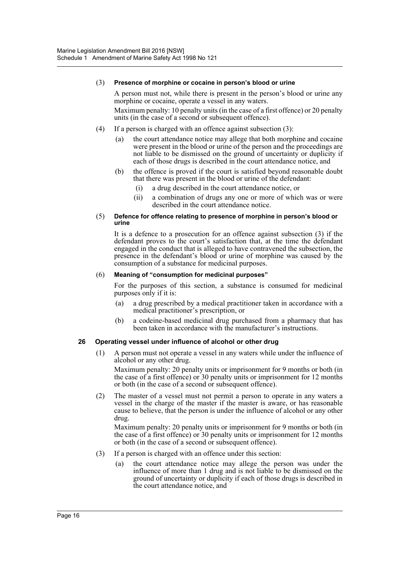#### (3) **Presence of morphine or cocaine in person's blood or urine**

A person must not, while there is present in the person's blood or urine any morphine or cocaine, operate a vessel in any waters.

Maximum penalty: 10 penalty units (in the case of a first offence) or 20 penalty units (in the case of a second or subsequent offence).

- (4) If a person is charged with an offence against subsection (3):
	- (a) the court attendance notice may allege that both morphine and cocaine were present in the blood or urine of the person and the proceedings are not liable to be dismissed on the ground of uncertainty or duplicity if each of those drugs is described in the court attendance notice, and
	- (b) the offence is proved if the court is satisfied beyond reasonable doubt that there was present in the blood or urine of the defendant:
		- (i) a drug described in the court attendance notice, or
		- (ii) a combination of drugs any one or more of which was or were described in the court attendance notice.

#### (5) **Defence for offence relating to presence of morphine in person's blood or urine**

It is a defence to a prosecution for an offence against subsection (3) if the defendant proves to the court's satisfaction that, at the time the defendant engaged in the conduct that is alleged to have contravened the subsection, the presence in the defendant's blood or urine of morphine was caused by the consumption of a substance for medicinal purposes.

#### (6) **Meaning of "consumption for medicinal purposes"**

For the purposes of this section, a substance is consumed for medicinal purposes only if it is:

- (a) a drug prescribed by a medical practitioner taken in accordance with a medical practitioner's prescription, or
- (b) a codeine-based medicinal drug purchased from a pharmacy that has been taken in accordance with the manufacturer's instructions.

# **26 Operating vessel under influence of alcohol or other drug**

(1) A person must not operate a vessel in any waters while under the influence of alcohol or any other drug.

Maximum penalty: 20 penalty units or imprisonment for 9 months or both (in the case of a first offence) or 30 penalty units or imprisonment for 12 months or both (in the case of a second or subsequent offence).

(2) The master of a vessel must not permit a person to operate in any waters a vessel in the charge of the master if the master is aware, or has reasonable cause to believe, that the person is under the influence of alcohol or any other drug.

Maximum penalty: 20 penalty units or imprisonment for 9 months or both (in the case of a first offence) or 30 penalty units or imprisonment for 12 months or both (in the case of a second or subsequent offence).

- (3) If a person is charged with an offence under this section:
	- (a) the court attendance notice may allege the person was under the influence of more than 1 drug and is not liable to be dismissed on the ground of uncertainty or duplicity if each of those drugs is described in the court attendance notice, and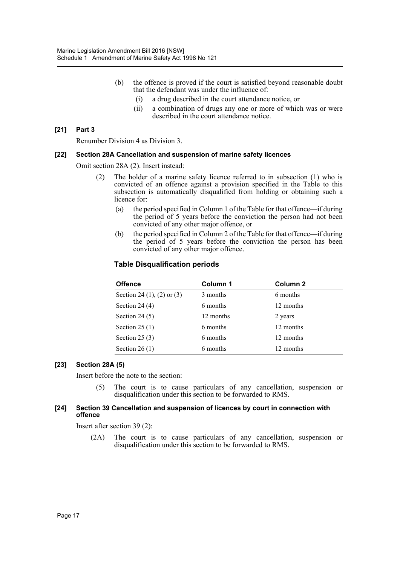- (b) the offence is proved if the court is satisfied beyond reasonable doubt that the defendant was under the influence of:
	- (i) a drug described in the court attendance notice, or
	- (ii) a combination of drugs any one or more of which was or were described in the court attendance notice.

#### **[21] Part 3**

Renumber Division 4 as Division 3.

#### **[22] Section 28A Cancellation and suspension of marine safety licences**

Omit section 28A (2). Insert instead:

- (2) The holder of a marine safety licence referred to in subsection (1) who is convicted of an offence against a provision specified in the Table to this subsection is automatically disqualified from holding or obtaining such a licence for:
	- (a) the period specified in Column 1 of the Table for that offence—if during the period of 5 years before the conviction the person had not been convicted of any other major offence, or
	- (b) the period specified in Column 2 of the Table for that offence—if during the period of 5 years before the conviction the person has been convicted of any other major offence.

# **Table Disqualification periods**

| <b>Offence</b>                    | Column 1  | Column 2  |  |
|-----------------------------------|-----------|-----------|--|
| Section 24 $(1)$ , $(2)$ or $(3)$ | 3 months  | 6 months  |  |
| Section 24 $(4)$                  | 6 months  | 12 months |  |
| Section 24 $(5)$                  | 12 months | 2 years   |  |
| Section 25 $(1)$                  | 6 months  | 12 months |  |
| Section 25 $(3)$                  | 6 months  | 12 months |  |
| Section 26 $(1)$                  | 6 months  | 12 months |  |

# **[23] Section 28A (5)**

Insert before the note to the section:

(5) The court is to cause particulars of any cancellation, suspension or disqualification under this section to be forwarded to RMS.

#### **[24] Section 39 Cancellation and suspension of licences by court in connection with offence**

Insert after section 39 (2):

(2A) The court is to cause particulars of any cancellation, suspension or disqualification under this section to be forwarded to RMS.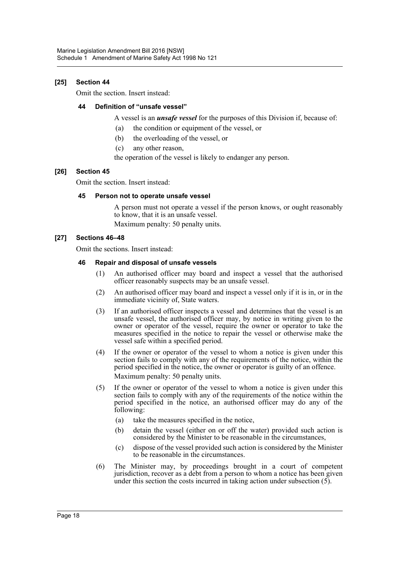# **[25] Section 44**

Omit the section. Insert instead:

# **44 Definition of "unsafe vessel"**

A vessel is an *unsafe vessel* for the purposes of this Division if, because of:

- (a) the condition or equipment of the vessel, or
- (b) the overloading of the vessel, or
- (c) any other reason,

the operation of the vessel is likely to endanger any person.

# **[26] Section 45**

Omit the section. Insert instead:

# **45 Person not to operate unsafe vessel**

A person must not operate a vessel if the person knows, or ought reasonably to know, that it is an unsafe vessel.

Maximum penalty: 50 penalty units.

# **[27] Sections 46–48**

Omit the sections. Insert instead:

# **46 Repair and disposal of unsafe vessels**

- (1) An authorised officer may board and inspect a vessel that the authorised officer reasonably suspects may be an unsafe vessel.
- (2) An authorised officer may board and inspect a vessel only if it is in, or in the immediate vicinity of, State waters.
- (3) If an authorised officer inspects a vessel and determines that the vessel is an unsafe vessel, the authorised officer may, by notice in writing given to the owner or operator of the vessel, require the owner or operator to take the measures specified in the notice to repair the vessel or otherwise make the vessel safe within a specified period.
- (4) If the owner or operator of the vessel to whom a notice is given under this section fails to comply with any of the requirements of the notice, within the period specified in the notice, the owner or operator is guilty of an offence. Maximum penalty: 50 penalty units.
- (5) If the owner or operator of the vessel to whom a notice is given under this section fails to comply with any of the requirements of the notice within the period specified in the notice, an authorised officer may do any of the following:
	- (a) take the measures specified in the notice,
	- (b) detain the vessel (either on or off the water) provided such action is considered by the Minister to be reasonable in the circumstances,
	- (c) dispose of the vessel provided such action is considered by the Minister to be reasonable in the circumstances.
- (6) The Minister may, by proceedings brought in a court of competent jurisdiction, recover as a debt from a person to whom a notice has been given under this section the costs incurred in taking action under subsection (5).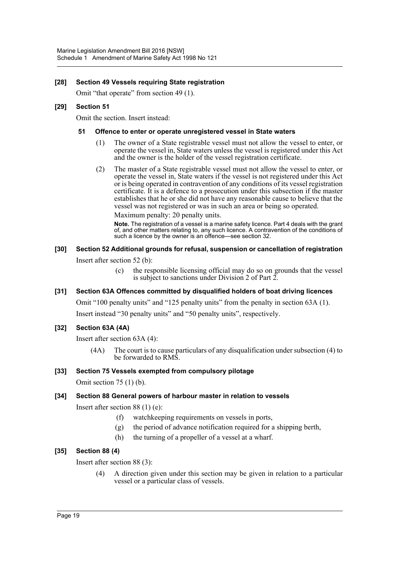# **[28] Section 49 Vessels requiring State registration**

Omit "that operate" from section 49 (1).

# **[29] Section 51**

Omit the section. Insert instead:

# **51 Offence to enter or operate unregistered vessel in State waters**

- (1) The owner of a State registrable vessel must not allow the vessel to enter, or operate the vessel in, State waters unless the vessel is registered under this Act and the owner is the holder of the vessel registration certificate.
- (2) The master of a State registrable vessel must not allow the vessel to enter, or operate the vessel in, State waters if the vessel is not registered under this Act or is being operated in contravention of any conditions of its vessel registration certificate. It is a defence to a prosecution under this subsection if the master establishes that he or she did not have any reasonable cause to believe that the vessel was not registered or was in such an area or being so operated.

Maximum penalty: 20 penalty units.

**Note.** The registration of a vessel is a marine safety licence. Part 4 deals with the grant of, and other matters relating to, any such licence. A contravention of the conditions of such a licence by the owner is an offence—see section 32.

# **[30] Section 52 Additional grounds for refusal, suspension or cancellation of registration**

Insert after section 52 (b):

(c) the responsible licensing official may do so on grounds that the vessel is subject to sanctions under Division 2 of Part 2.

# **[31] Section 63A Offences committed by disqualified holders of boat driving licences**

Omit "100 penalty units" and "125 penalty units" from the penalty in section 63A (1). Insert instead "30 penalty units" and "50 penalty units", respectively.

# **[32] Section 63A (4A)**

Insert after section 63A (4):

(4A) The court is to cause particulars of any disqualification under subsection (4) to be forwarded to RMS.

# **[33] Section 75 Vessels exempted from compulsory pilotage**

Omit section 75 (1) (b).

# **[34] Section 88 General powers of harbour master in relation to vessels**

Insert after section 88 (1) (e):

- (f) watchkeeping requirements on vessels in ports,
- (g) the period of advance notification required for a shipping berth,
- (h) the turning of a propeller of a vessel at a wharf.

# **[35] Section 88 (4)**

Insert after section 88 (3):

(4) A direction given under this section may be given in relation to a particular vessel or a particular class of vessels.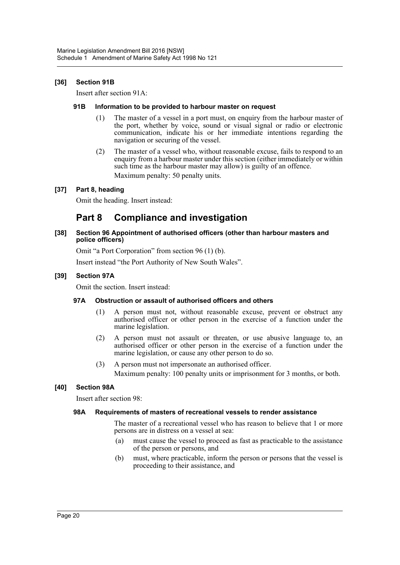# **[36] Section 91B**

Insert after section 91A:

#### **91B Information to be provided to harbour master on request**

- (1) The master of a vessel in a port must, on enquiry from the harbour master of the port, whether by voice, sound or visual signal or radio or electronic communication, indicate his or her immediate intentions regarding the navigation or securing of the vessel.
- (2) The master of a vessel who, without reasonable excuse, fails to respond to an enquiry from a harbour master under this section (either immediately or within such time as the harbour master may allow) is guilty of an offence. Maximum penalty: 50 penalty units.

# **[37] Part 8, heading**

Omit the heading. Insert instead:

# **Part 8 Compliance and investigation**

#### **[38] Section 96 Appointment of authorised officers (other than harbour masters and police officers)**

Omit "a Port Corporation" from section 96 (1) (b).

Insert instead "the Port Authority of New South Wales".

# **[39] Section 97A**

Omit the section. Insert instead:

# **97A Obstruction or assault of authorised officers and others**

- (1) A person must not, without reasonable excuse, prevent or obstruct any authorised officer or other person in the exercise of a function under the marine legislation.
- (2) A person must not assault or threaten, or use abusive language to, an authorised officer or other person in the exercise of a function under the marine legislation, or cause any other person to do so.
- (3) A person must not impersonate an authorised officer. Maximum penalty: 100 penalty units or imprisonment for 3 months, or both.

# **[40] Section 98A**

Insert after section 98:

# **98A Requirements of masters of recreational vessels to render assistance**

The master of a recreational vessel who has reason to believe that 1 or more persons are in distress on a vessel at sea:

- (a) must cause the vessel to proceed as fast as practicable to the assistance of the person or persons, and
- (b) must, where practicable, inform the person or persons that the vessel is proceeding to their assistance, and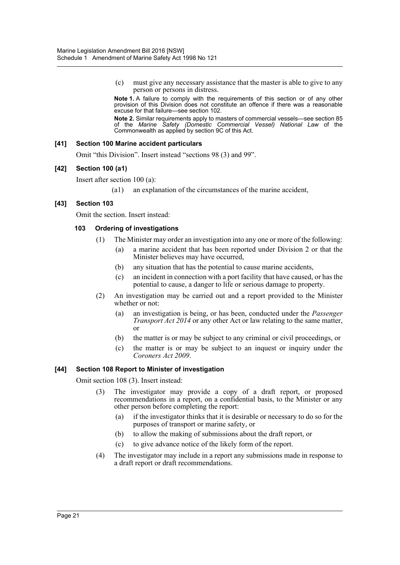(c) must give any necessary assistance that the master is able to give to any person or persons in distress.

**Note 1.** A failure to comply with the requirements of this section or of any other provision of this Division does not constitute an offence if there was a reasonable excuse for that failure—see section 102.

**Note 2.** Similar requirements apply to masters of commercial vessels—see section 85 of the *Marine Safety (Domestic Commercial Vessel) National Law* of the Commonwealth as applied by section 9C of this Act.

# **[41] Section 100 Marine accident particulars**

Omit "this Division". Insert instead "sections 98 (3) and 99".

# **[42] Section 100 (a1)**

Insert after section 100 (a):

(a1) an explanation of the circumstances of the marine accident,

# **[43] Section 103**

Omit the section. Insert instead:

# **103 Ordering of investigations**

- (1) The Minister may order an investigation into any one or more of the following:
	- (a) a marine accident that has been reported under Division 2 or that the Minister believes may have occurred,
	- (b) any situation that has the potential to cause marine accidents,
	- (c) an incident in connection with a port facility that have caused, or has the potential to cause, a danger to life or serious damage to property.
- (2) An investigation may be carried out and a report provided to the Minister whether or not:
	- (a) an investigation is being, or has been, conducted under the *Passenger Transport Act 2014* or any other Act or law relating to the same matter, or
	- (b) the matter is or may be subject to any criminal or civil proceedings, or
	- (c) the matter is or may be subject to an inquest or inquiry under the *Coroners Act 2009*.

# **[44] Section 108 Report to Minister of investigation**

Omit section 108 (3). Insert instead:

- (3) The investigator may provide a copy of a draft report, or proposed recommendations in a report, on a confidential basis, to the Minister or any other person before completing the report:
	- (a) if the investigator thinks that it is desirable or necessary to do so for the purposes of transport or marine safety, or
	- (b) to allow the making of submissions about the draft report, or
	- (c) to give advance notice of the likely form of the report.
- (4) The investigator may include in a report any submissions made in response to a draft report or draft recommendations.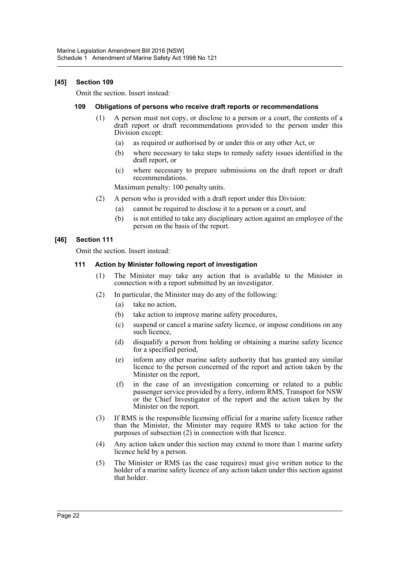# **[45] Section 109**

Omit the section. Insert instead:

#### **109 Obligations of persons who receive draft reports or recommendations**

- (1) A person must not copy, or disclose to a person or a court, the contents of a draft report or draft recommendations provided to the person under this Division except:
	- (a) as required or authorised by or under this or any other Act, or
	- (b) where necessary to take steps to remedy safety issues identified in the draft report, or
	- (c) where necessary to prepare submissions on the draft report or draft recommendations.

Maximum penalty: 100 penalty units.

- (2) A person who is provided with a draft report under this Division:
	- (a) cannot be required to disclose it to a person or a court, and
	- (b) is not entitled to take any disciplinary action against an employee of the person on the basis of the report.

# **[46] Section 111**

Omit the section. Insert instead:

# **111 Action by Minister following report of investigation**

- (1) The Minister may take any action that is available to the Minister in connection with a report submitted by an investigator.
- (2) In particular, the Minister may do any of the following:
	- (a) take no action,
	- (b) take action to improve marine safety procedures,
	- (c) suspend or cancel a marine safety licence, or impose conditions on any such licence,
	- (d) disqualify a person from holding or obtaining a marine safety licence for a specified period,
	- (e) inform any other marine safety authority that has granted any similar licence to the person concerned of the report and action taken by the Minister on the report,
	- (f) in the case of an investigation concerning or related to a public passenger service provided by a ferry, inform RMS, Transport for NSW or the Chief Investigator of the report and the action taken by the Minister on the report.
- (3) If RMS is the responsible licensing official for a marine safety licence rather than the Minister, the Minister may require RMS to take action for the purposes of subsection (2) in connection with that licence.
- (4) Any action taken under this section may extend to more than 1 marine safety licence held by a person.
- (5) The Minister or RMS (as the case requires) must give written notice to the holder of a marine safety licence of any action taken under this section against that holder.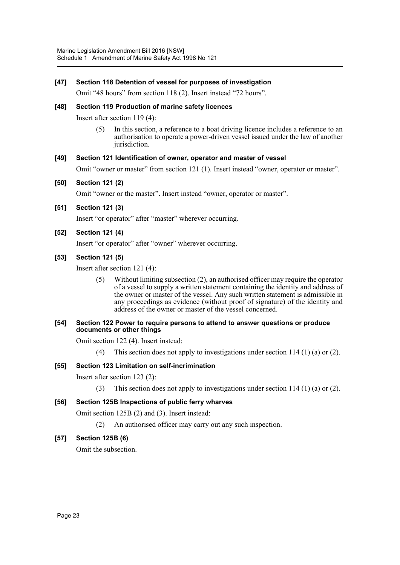# **[47] Section 118 Detention of vessel for purposes of investigation**

Omit "48 hours" from section 118 (2). Insert instead "72 hours".

# **[48] Section 119 Production of marine safety licences**

Insert after section 119 (4):

(5) In this section, a reference to a boat driving licence includes a reference to an authorisation to operate a power-driven vessel issued under the law of another jurisdiction.

# **[49] Section 121 Identification of owner, operator and master of vessel**

Omit "owner or master" from section 121 (1). Insert instead "owner, operator or master".

# **[50] Section 121 (2)**

Omit "owner or the master". Insert instead "owner, operator or master".

**[51] Section 121 (3)**

Insert "or operator" after "master" wherever occurring.

# **[52] Section 121 (4)**

Insert "or operator" after "owner" wherever occurring.

# **[53] Section 121 (5)**

Insert after section 121 (4):

(5) Without limiting subsection (2), an authorised officer may require the operator of a vessel to supply a written statement containing the identity and address of the owner or master of the vessel. Any such written statement is admissible in any proceedings as evidence (without proof of signature) of the identity and address of the owner or master of the vessel concerned.

#### **[54] Section 122 Power to require persons to attend to answer questions or produce documents or other things**

Omit section 122 (4). Insert instead:

(4) This section does not apply to investigations under section 114 (1) (a) or (2).

# **[55] Section 123 Limitation on self-incrimination**

Insert after section 123 (2):

(3) This section does not apply to investigations under section 114 (1) (a) or (2).

# **[56] Section 125B Inspections of public ferry wharves**

Omit section 125B (2) and (3). Insert instead:

(2) An authorised officer may carry out any such inspection.

# **[57] Section 125B (6)**

Omit the subsection.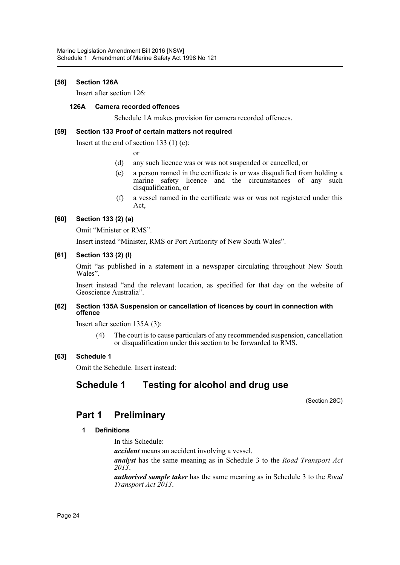# **[58] Section 126A**

Insert after section 126:

# **126A Camera recorded offences**

Schedule 1A makes provision for camera recorded offences.

#### **[59] Section 133 Proof of certain matters not required**

Insert at the end of section 133 (1) (c):

or

- (d) any such licence was or was not suspended or cancelled, or
- (e) a person named in the certificate is or was disqualified from holding a marine safety licence and the circumstances of any such disqualification, or
- (f) a vessel named in the certificate was or was not registered under this Act,

# **[60] Section 133 (2) (a)**

Omit "Minister or RMS".

Insert instead "Minister, RMS or Port Authority of New South Wales".

#### **[61] Section 133 (2) (l)**

Omit "as published in a statement in a newspaper circulating throughout New South Wales".

Insert instead "and the relevant location, as specified for that day on the website of Geoscience Australia".

#### **[62] Section 135A Suspension or cancellation of licences by court in connection with offence**

Insert after section 135A (3):

(4) The court is to cause particulars of any recommended suspension, cancellation or disqualification under this section to be forwarded to RMS.

# **[63] Schedule 1**

Omit the Schedule. Insert instead:

# **Schedule 1 Testing for alcohol and drug use**

(Section 28C)

# **Part 1 Preliminary**

# **1 Definitions**

In this Schedule:

*accident* means an accident involving a vessel.

*analyst* has the same meaning as in Schedule 3 to the *Road Transport Act 2013*.

*authorised sample taker* has the same meaning as in Schedule 3 to the *Road Transport Act 2013*.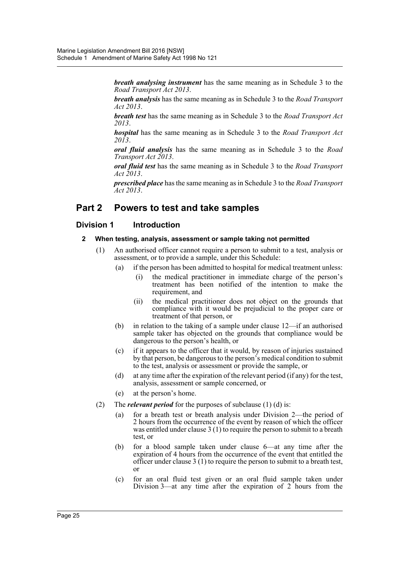*breath analysing instrument* has the same meaning as in Schedule 3 to the *Road Transport Act 2013*.

*breath analysis* has the same meaning as in Schedule 3 to the *Road Transport Act 2013*.

*breath test* has the same meaning as in Schedule 3 to the *Road Transport Act 2013*.

*hospital* has the same meaning as in Schedule 3 to the *Road Transport Act 2013*.

*oral fluid analysis* has the same meaning as in Schedule 3 to the *Road Transport Act 2013*.

*oral fluid test* has the same meaning as in Schedule 3 to the *Road Transport Act 2013*.

*prescribed place* has the same meaning as in Schedule 3 to the *Road Transport Act 2013*.

# **Part 2 Powers to test and take samples**

# **Division 1 Introduction**

# **2 When testing, analysis, assessment or sample taking not permitted**

- (1) An authorised officer cannot require a person to submit to a test, analysis or assessment, or to provide a sample, under this Schedule:
	- (a) if the person has been admitted to hospital for medical treatment unless:
		- (i) the medical practitioner in immediate charge of the person's treatment has been notified of the intention to make the requirement, and
		- (ii) the medical practitioner does not object on the grounds that compliance with it would be prejudicial to the proper care or treatment of that person, or
	- (b) in relation to the taking of a sample under clause 12—if an authorised sample taker has objected on the grounds that compliance would be dangerous to the person's health, or
	- (c) if it appears to the officer that it would, by reason of injuries sustained by that person, be dangerous to the person's medical condition to submit to the test, analysis or assessment or provide the sample, or
	- (d) at any time after the expiration of the relevant period (if any) for the test, analysis, assessment or sample concerned, or
	- (e) at the person's home.
- (2) The *relevant period* for the purposes of subclause (1) (d) is:
	- (a) for a breath test or breath analysis under Division 2—the period of 2 hours from the occurrence of the event by reason of which the officer was entitled under clause 3 (1) to require the person to submit to a breath test, or
	- (b) for a blood sample taken under clause 6—at any time after the expiration of 4 hours from the occurrence of the event that entitled the officer under clause 3 (1) to require the person to submit to a breath test, or
	- (c) for an oral fluid test given or an oral fluid sample taken under Division 3—at any time after the expiration of  $2$  hours from the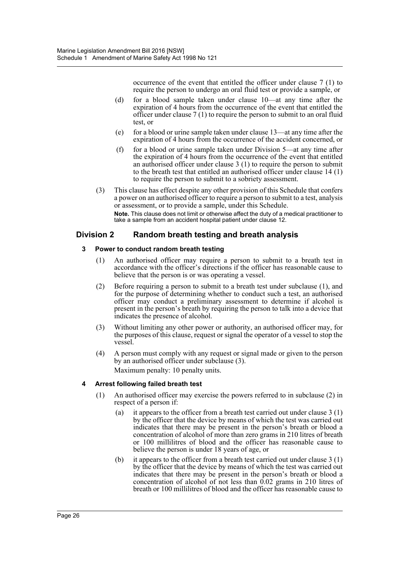occurrence of the event that entitled the officer under clause 7 (1) to require the person to undergo an oral fluid test or provide a sample, or

- (d) for a blood sample taken under clause 10—at any time after the expiration of 4 hours from the occurrence of the event that entitled the officer under clause 7 (1) to require the person to submit to an oral fluid test, or
- (e) for a blood or urine sample taken under clause 13—at any time after the expiration of 4 hours from the occurrence of the accident concerned, or
- (f) for a blood or urine sample taken under Division 5—at any time after the expiration of 4 hours from the occurrence of the event that entitled an authorised officer under clause 3 (1) to require the person to submit to the breath test that entitled an authorised officer under clause 14 (1) to require the person to submit to a sobriety assessment.
- (3) This clause has effect despite any other provision of this Schedule that confers a power on an authorised officer to require a person to submit to a test, analysis or assessment, or to provide a sample, under this Schedule. **Note.** This clause does not limit or otherwise affect the duty of a medical practitioner to take a sample from an accident hospital patient under clause 12.

# **Division 2 Random breath testing and breath analysis**

# **3 Power to conduct random breath testing**

- (1) An authorised officer may require a person to submit to a breath test in accordance with the officer's directions if the officer has reasonable cause to believe that the person is or was operating a vessel.
- (2) Before requiring a person to submit to a breath test under subclause (1), and for the purpose of determining whether to conduct such a test, an authorised officer may conduct a preliminary assessment to determine if alcohol is present in the person's breath by requiring the person to talk into a device that indicates the presence of alcohol.
- (3) Without limiting any other power or authority, an authorised officer may, for the purposes of this clause, request or signal the operator of a vessel to stop the vessel.
- (4) A person must comply with any request or signal made or given to the person by an authorised officer under subclause (3). Maximum penalty: 10 penalty units.

# **4 Arrest following failed breath test**

- (1) An authorised officer may exercise the powers referred to in subclause (2) in respect of a person if:
	- (a) it appears to the officer from a breath test carried out under clause 3 (1) by the officer that the device by means of which the test was carried out indicates that there may be present in the person's breath or blood a concentration of alcohol of more than zero grams in 210 litres of breath or 100 millilitres of blood and the officer has reasonable cause to believe the person is under 18 years of age, or
	- (b) it appears to the officer from a breath test carried out under clause 3 (1) by the officer that the device by means of which the test was carried out indicates that there may be present in the person's breath or blood a concentration of alcohol of not less than  $0.02$  grams in 210 litres of breath or 100 millilitres of blood and the officer has reasonable cause to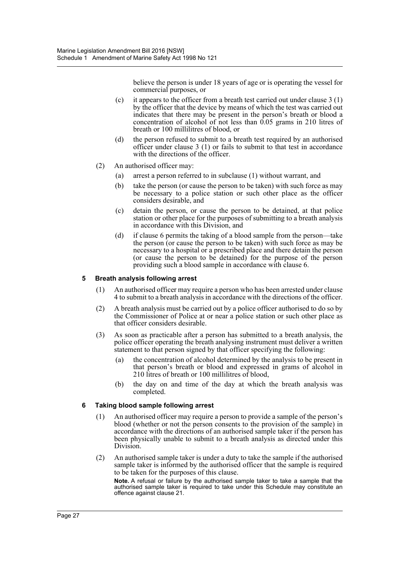believe the person is under 18 years of age or is operating the vessel for commercial purposes, or

- (c) it appears to the officer from a breath test carried out under clause  $3(1)$ by the officer that the device by means of which the test was carried out indicates that there may be present in the person's breath or blood a concentration of alcohol of not less than  $0.05$  grams in 210 litres of breath or 100 millilitres of blood, or
- (d) the person refused to submit to a breath test required by an authorised officer under clause 3 (1) or fails to submit to that test in accordance with the directions of the officer.
- (2) An authorised officer may:
	- (a) arrest a person referred to in subclause (1) without warrant, and
	- (b) take the person (or cause the person to be taken) with such force as may be necessary to a police station or such other place as the officer considers desirable, and
	- (c) detain the person, or cause the person to be detained, at that police station or other place for the purposes of submitting to a breath analysis in accordance with this Division, and
	- (d) if clause 6 permits the taking of a blood sample from the person—take the person (or cause the person to be taken) with such force as may be necessary to a hospital or a prescribed place and there detain the person (or cause the person to be detained) for the purpose of the person providing such a blood sample in accordance with clause 6.

# **5 Breath analysis following arrest**

- (1) An authorised officer may require a person who has been arrested under clause 4 to submit to a breath analysis in accordance with the directions of the officer.
- (2) A breath analysis must be carried out by a police officer authorised to do so by the Commissioner of Police at or near a police station or such other place as that officer considers desirable.
- (3) As soon as practicable after a person has submitted to a breath analysis, the police officer operating the breath analysing instrument must deliver a written statement to that person signed by that officer specifying the following:
	- (a) the concentration of alcohol determined by the analysis to be present in that person's breath or blood and expressed in grams of alcohol in 210 litres of breath or 100 millilitres of blood,
	- (b) the day on and time of the day at which the breath analysis was completed.

# **6 Taking blood sample following arrest**

- (1) An authorised officer may require a person to provide a sample of the person's blood (whether or not the person consents to the provision of the sample) in accordance with the directions of an authorised sample taker if the person has been physically unable to submit to a breath analysis as directed under this Division.
- (2) An authorised sample taker is under a duty to take the sample if the authorised sample taker is informed by the authorised officer that the sample is required to be taken for the purposes of this clause.

**Note.** A refusal or failure by the authorised sample taker to take a sample that the authorised sample taker is required to take under this Schedule may constitute an offence against clause 21.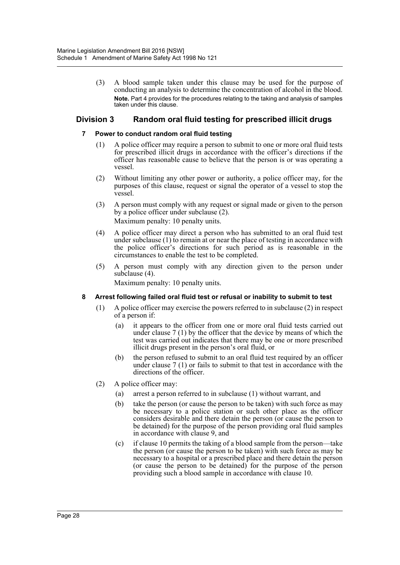(3) A blood sample taken under this clause may be used for the purpose of conducting an analysis to determine the concentration of alcohol in the blood. **Note.** Part 4 provides for the procedures relating to the taking and analysis of samples taken under this clause.

# **Division 3 Random oral fluid testing for prescribed illicit drugs**

# **7 Power to conduct random oral fluid testing**

- (1) A police officer may require a person to submit to one or more oral fluid tests for prescribed illicit drugs in accordance with the officer's directions if the officer has reasonable cause to believe that the person is or was operating a vessel.
- (2) Without limiting any other power or authority, a police officer may, for the purposes of this clause, request or signal the operator of a vessel to stop the vessel.
- (3) A person must comply with any request or signal made or given to the person by a police officer under subclause (2). Maximum penalty: 10 penalty units.
- (4) A police officer may direct a person who has submitted to an oral fluid test under subclause (1) to remain at or near the place of testing in accordance with the police officer's directions for such period as is reasonable in the circumstances to enable the test to be completed.
- (5) A person must comply with any direction given to the person under subclause (4).

Maximum penalty: 10 penalty units.

# **8 Arrest following failed oral fluid test or refusal or inability to submit to test**

- (1) A police officer may exercise the powers referred to in subclause (2) in respect of a person if:
	- (a) it appears to the officer from one or more oral fluid tests carried out under clause 7 (1) by the officer that the device by means of which the test was carried out indicates that there may be one or more prescribed illicit drugs present in the person's oral fluid, or
	- (b) the person refused to submit to an oral fluid test required by an officer under clause 7 (1) or fails to submit to that test in accordance with the directions of the officer.
- (2) A police officer may:
	- (a) arrest a person referred to in subclause (1) without warrant, and
	- (b) take the person (or cause the person to be taken) with such force as may be necessary to a police station or such other place as the officer considers desirable and there detain the person (or cause the person to be detained) for the purpose of the person providing oral fluid samples in accordance with clause 9, and
	- (c) if clause 10 permits the taking of a blood sample from the person—take the person (or cause the person to be taken) with such force as may be necessary to a hospital or a prescribed place and there detain the person (or cause the person to be detained) for the purpose of the person providing such a blood sample in accordance with clause 10.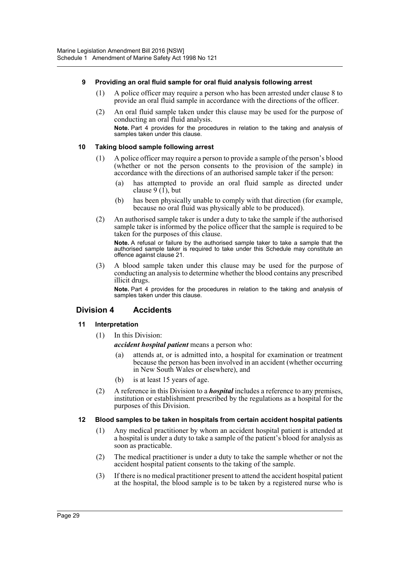# **9 Providing an oral fluid sample for oral fluid analysis following arrest**

- (1) A police officer may require a person who has been arrested under clause 8 to provide an oral fluid sample in accordance with the directions of the officer.
- (2) An oral fluid sample taken under this clause may be used for the purpose of conducting an oral fluid analysis. **Note.** Part 4 provides for the procedures in relation to the taking and analysis of samples taken under this clause.

# **10 Taking blood sample following arrest**

- (1) A police officer may require a person to provide a sample of the person's blood (whether or not the person consents to the provision of the sample) in accordance with the directions of an authorised sample taker if the person:
	- (a) has attempted to provide an oral fluid sample as directed under clause  $9(1)$ , but
	- (b) has been physically unable to comply with that direction (for example, because no oral fluid was physically able to be produced).
- (2) An authorised sample taker is under a duty to take the sample if the authorised sample taker is informed by the police officer that the sample is required to be taken for the purposes of this clause.

**Note.** A refusal or failure by the authorised sample taker to take a sample that the authorised sample taker is required to take under this Schedule may constitute an offence against clause 21.

(3) A blood sample taken under this clause may be used for the purpose of conducting an analysis to determine whether the blood contains any prescribed illicit drugs.

**Note.** Part 4 provides for the procedures in relation to the taking and analysis of samples taken under this clause.

# **Division 4 Accidents**

# **11 Interpretation**

(1) In this Division:

*accident hospital patient* means a person who:

- (a) attends at, or is admitted into, a hospital for examination or treatment because the person has been involved in an accident (whether occurring in New South Wales or elsewhere), and
- (b) is at least 15 years of age.
- (2) A reference in this Division to a *hospital* includes a reference to any premises, institution or establishment prescribed by the regulations as a hospital for the purposes of this Division.

# **12 Blood samples to be taken in hospitals from certain accident hospital patients**

- (1) Any medical practitioner by whom an accident hospital patient is attended at a hospital is under a duty to take a sample of the patient's blood for analysis as soon as practicable.
- (2) The medical practitioner is under a duty to take the sample whether or not the accident hospital patient consents to the taking of the sample.
- (3) If there is no medical practitioner present to attend the accident hospital patient at the hospital, the blood sample is to be taken by a registered nurse who is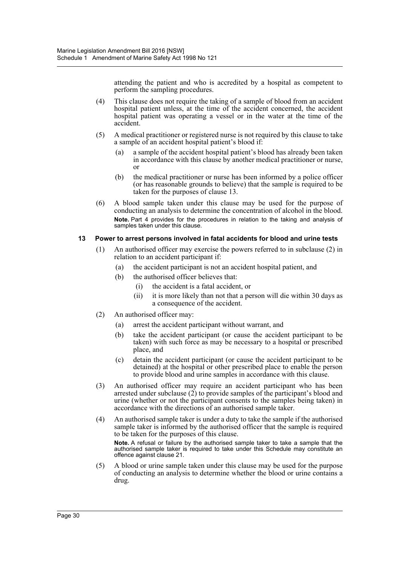attending the patient and who is accredited by a hospital as competent to perform the sampling procedures.

- (4) This clause does not require the taking of a sample of blood from an accident hospital patient unless, at the time of the accident concerned, the accident hospital patient was operating a vessel or in the water at the time of the accident.
- (5) A medical practitioner or registered nurse is not required by this clause to take a sample of an accident hospital patient's blood if:
	- (a) a sample of the accident hospital patient's blood has already been taken in accordance with this clause by another medical practitioner or nurse, or
	- (b) the medical practitioner or nurse has been informed by a police officer (or has reasonable grounds to believe) that the sample is required to be taken for the purposes of clause 13.
- (6) A blood sample taken under this clause may be used for the purpose of conducting an analysis to determine the concentration of alcohol in the blood. **Note.** Part 4 provides for the procedures in relation to the taking and analysis of samples taken under this clause.

# **13 Power to arrest persons involved in fatal accidents for blood and urine tests**

- (1) An authorised officer may exercise the powers referred to in subclause (2) in relation to an accident participant if:
	- (a) the accident participant is not an accident hospital patient, and
	- (b) the authorised officer believes that:
		- (i) the accident is a fatal accident, or
		- (ii) it is more likely than not that a person will die within 30 days as a consequence of the accident.
- (2) An authorised officer may:
	- (a) arrest the accident participant without warrant, and
	- (b) take the accident participant (or cause the accident participant to be taken) with such force as may be necessary to a hospital or prescribed place, and
	- (c) detain the accident participant (or cause the accident participant to be detained) at the hospital or other prescribed place to enable the person to provide blood and urine samples in accordance with this clause.
- (3) An authorised officer may require an accident participant who has been arrested under subclause  $(2)$  to provide samples of the participant's blood and urine (whether or not the participant consents to the samples being taken) in accordance with the directions of an authorised sample taker.
- (4) An authorised sample taker is under a duty to take the sample if the authorised sample taker is informed by the authorised officer that the sample is required to be taken for the purposes of this clause. **Note.** A refusal or failure by the authorised sample taker to take a sample that the authorised sample taker is required to take under this Schedule may constitute an offence against clause 21.
- (5) A blood or urine sample taken under this clause may be used for the purpose of conducting an analysis to determine whether the blood or urine contains a drug.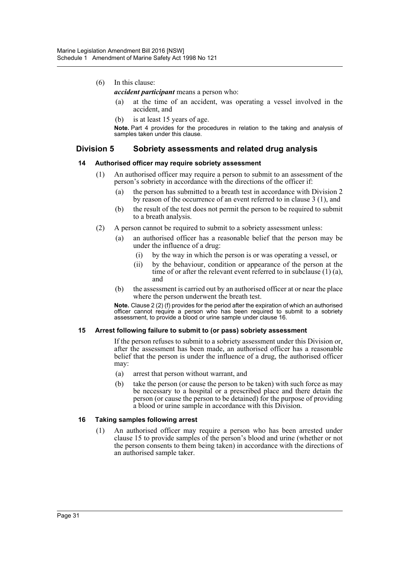- (6) In this clause:
	- *accident participant* means a person who:
		- (a) at the time of an accident, was operating a vessel involved in the accident, and
		- (b) is at least 15 years of age.

**Note.** Part 4 provides for the procedures in relation to the taking and analysis of samples taken under this clause.

# **Division 5 Sobriety assessments and related drug analysis**

# **14 Authorised officer may require sobriety assessment**

- (1) An authorised officer may require a person to submit to an assessment of the person's sobriety in accordance with the directions of the officer if:
	- (a) the person has submitted to a breath test in accordance with Division 2 by reason of the occurrence of an event referred to in clause 3 (1), and
	- (b) the result of the test does not permit the person to be required to submit to a breath analysis.
- (2) A person cannot be required to submit to a sobriety assessment unless:
	- (a) an authorised officer has a reasonable belief that the person may be under the influence of a drug:
		- (i) by the way in which the person is or was operating a vessel, or
		- (ii) by the behaviour, condition or appearance of the person at the time of or after the relevant event referred to in subclause (1) (a), and
	- (b) the assessment is carried out by an authorised officer at or near the place where the person underwent the breath test.

**Note.** Clause 2 (2) (f) provides for the period after the expiration of which an authorised officer cannot require a person who has been required to submit to a sobriety assessment, to provide a blood or urine sample under clause 16.

# **15 Arrest following failure to submit to (or pass) sobriety assessment**

If the person refuses to submit to a sobriety assessment under this Division or, after the assessment has been made, an authorised officer has a reasonable belief that the person is under the influence of a drug, the authorised officer may:

- (a) arrest that person without warrant, and
- (b) take the person (or cause the person to be taken) with such force as may be necessary to a hospital or a prescribed place and there detain the person (or cause the person to be detained) for the purpose of providing a blood or urine sample in accordance with this Division.

# **16 Taking samples following arrest**

(1) An authorised officer may require a person who has been arrested under clause 15 to provide samples of the person's blood and urine (whether or not the person consents to them being taken) in accordance with the directions of an authorised sample taker.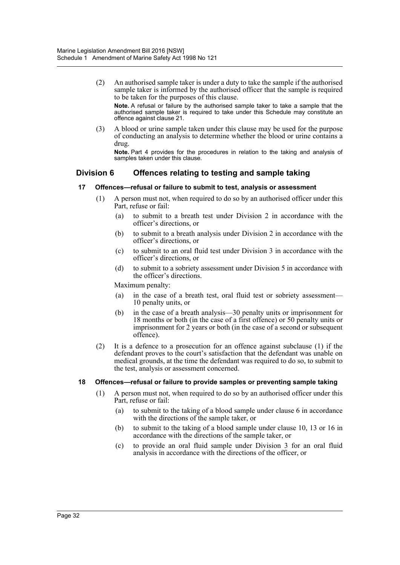(2) An authorised sample taker is under a duty to take the sample if the authorised sample taker is informed by the authorised officer that the sample is required to be taken for the purposes of this clause.

**Note.** A refusal or failure by the authorised sample taker to take a sample that the authorised sample taker is required to take under this Schedule may constitute an offence against clause 21.

(3) A blood or urine sample taken under this clause may be used for the purpose of conducting an analysis to determine whether the blood or urine contains a drug.

**Note.** Part 4 provides for the procedures in relation to the taking and analysis of samples taken under this clause.

# **Division 6 Offences relating to testing and sample taking**

# **17 Offences—refusal or failure to submit to test, analysis or assessment**

- (1) A person must not, when required to do so by an authorised officer under this Part, refuse or fail:
	- (a) to submit to a breath test under Division 2 in accordance with the officer's directions, or
	- (b) to submit to a breath analysis under Division 2 in accordance with the officer's directions, or
	- (c) to submit to an oral fluid test under Division 3 in accordance with the officer's directions, or
	- (d) to submit to a sobriety assessment under Division 5 in accordance with the officer's directions.

Maximum penalty:

- (a) in the case of a breath test, oral fluid test or sobriety assessment— 10 penalty units, or
- (b) in the case of a breath analysis—30 penalty units or imprisonment for 18 months or both (in the case of a first offence) or 50 penalty units or imprisonment for 2 years or both (in the case of a second or subsequent offence).
- (2) It is a defence to a prosecution for an offence against subclause (1) if the defendant proves to the court's satisfaction that the defendant was unable on medical grounds, at the time the defendant was required to do so, to submit to the test, analysis or assessment concerned.

# **18 Offences—refusal or failure to provide samples or preventing sample taking**

- (1) A person must not, when required to do so by an authorised officer under this Part, refuse or fail:
	- (a) to submit to the taking of a blood sample under clause 6 in accordance with the directions of the sample taker, or
	- (b) to submit to the taking of a blood sample under clause 10, 13 or 16 in accordance with the directions of the sample taker, or
	- (c) to provide an oral fluid sample under Division 3 for an oral fluid analysis in accordance with the directions of the officer, or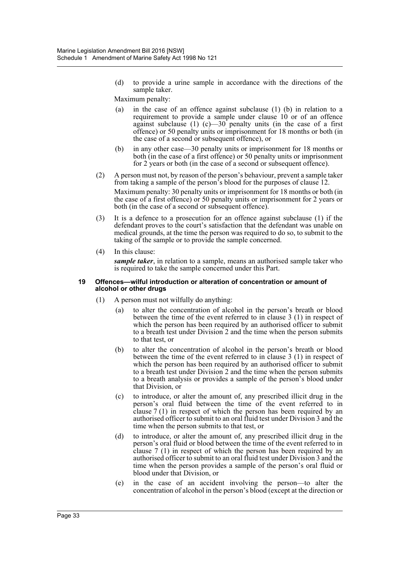(d) to provide a urine sample in accordance with the directions of the sample taker.

Maximum penalty:

- (a) in the case of an offence against subclause (1) (b) in relation to a requirement to provide a sample under clause 10 or of an offence against subclause (1)  $(c)$ —30 penalty units (in the case of a first offence) or 50 penalty units or imprisonment for 18 months or both (in the case of a second or subsequent offence), or
- (b) in any other case—30 penalty units or imprisonment for 18 months or both (in the case of a first offence) or 50 penalty units or imprisonment for 2 years or both (in the case of a second or subsequent offence).
- (2) A person must not, by reason of the person's behaviour, prevent a sample taker from taking a sample of the person's blood for the purposes of clause 12. Maximum penalty: 30 penalty units or imprisonment for 18 months or both (in the case of a first offence) or 50 penalty units or imprisonment for 2 years or both (in the case of a second or subsequent offence).
- (3) It is a defence to a prosecution for an offence against subclause (1) if the defendant proves to the court's satisfaction that the defendant was unable on medical grounds, at the time the person was required to do so, to submit to the taking of the sample or to provide the sample concerned.
- (4) In this clause:

*sample taker*, in relation to a sample, means an authorised sample taker who is required to take the sample concerned under this Part.

#### **19 Offences—wilful introduction or alteration of concentration or amount of alcohol or other drugs**

- (1) A person must not wilfully do anything:
	- (a) to alter the concentration of alcohol in the person's breath or blood between the time of the event referred to in clause 3 (1) in respect of which the person has been required by an authorised officer to submit to a breath test under Division 2 and the time when the person submits to that test, or
	- (b) to alter the concentration of alcohol in the person's breath or blood between the time of the event referred to in clause 3 (1) in respect of which the person has been required by an authorised officer to submit to a breath test under Division 2 and the time when the person submits to a breath analysis or provides a sample of the person's blood under that Division, or
	- (c) to introduce, or alter the amount of, any prescribed illicit drug in the person's oral fluid between the time of the event referred to in clause 7 (1) in respect of which the person has been required by an authorised officer to submit to an oral fluid test under Division 3 and the time when the person submits to that test, or
	- (d) to introduce, or alter the amount of, any prescribed illicit drug in the person's oral fluid or blood between the time of the event referred to in clause 7 (1) in respect of which the person has been required by an authorised officer to submit to an oral fluid test under Division 3 and the time when the person provides a sample of the person's oral fluid or blood under that Division, or
	- (e) in the case of an accident involving the person—to alter the concentration of alcohol in the person's blood (except at the direction or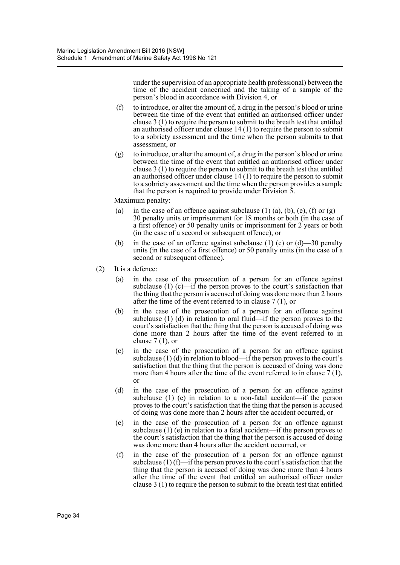under the supervision of an appropriate health professional) between the time of the accident concerned and the taking of a sample of the person's blood in accordance with Division 4, or

- (f) to introduce, or alter the amount of, a drug in the person's blood or urine between the time of the event that entitled an authorised officer under clause 3 (1) to require the person to submit to the breath test that entitled an authorised officer under clause 14 (1) to require the person to submit to a sobriety assessment and the time when the person submits to that assessment, or
- (g) to introduce, or alter the amount of, a drug in the person's blood or urine between the time of the event that entitled an authorised officer under clause 3 (1) to require the person to submit to the breath test that entitled an authorised officer under clause 14 (1) to require the person to submit to a sobriety assessment and the time when the person provides a sample that the person is required to provide under Division 5.

Maximum penalty:

- (a) in the case of an offence against subclause (1) (a), (b), (e), (f) or  $(g)$ 30 penalty units or imprisonment for 18 months or both (in the case of a first offence) or 50 penalty units or imprisonment for 2 years or both (in the case of a second or subsequent offence), or
- (b) in the case of an offence against subclause (1) (c) or  $(d)$ —30 penalty units (in the case of a first offence) or 50 penalty units (in the case of a second or subsequent offence).
- (2) It is a defence:
	- (a) in the case of the prosecution of a person for an offence against subclause (1) (c)—if the person proves to the court's satisfaction that the thing that the person is accused of doing was done more than 2 hours after the time of the event referred to in clause 7 (1), or
	- (b) in the case of the prosecution of a person for an offence against subclause (1) (d) in relation to oral fluid—if the person proves to the court's satisfaction that the thing that the person is accused of doing was done more than 2 hours after the time of the event referred to in clause  $7(1)$ , or
	- (c) in the case of the prosecution of a person for an offence against subclause  $(1)$  (d) in relation to blood—if the person proves to the court's satisfaction that the thing that the person is accused of doing was done more than 4 hours after the time of the event referred to in clause  $7(1)$ , or
	- (d) in the case of the prosecution of a person for an offence against subclause (1) (e) in relation to a non-fatal accident—if the person proves to the court's satisfaction that the thing that the person is accused of doing was done more than 2 hours after the accident occurred, or
	- (e) in the case of the prosecution of a person for an offence against subclause (1) (e) in relation to a fatal accident—if the person proves to the court's satisfaction that the thing that the person is accused of doing was done more than 4 hours after the accident occurred, or
	- (f) in the case of the prosecution of a person for an offence against subclause  $(1)$  (f)—if the person proves to the court's satisfaction that the thing that the person is accused of doing was done more than 4 hours after the time of the event that entitled an authorised officer under clause 3 (1) to require the person to submit to the breath test that entitled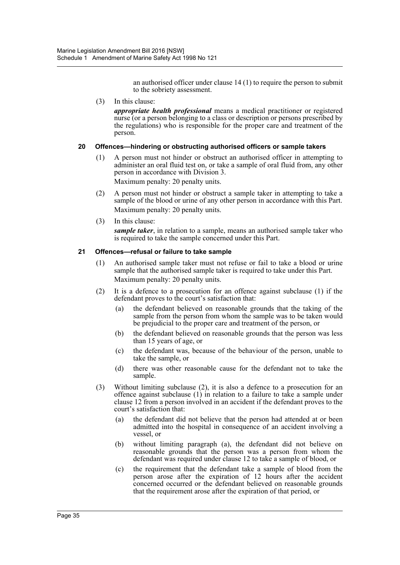an authorised officer under clause 14 (1) to require the person to submit to the sobriety assessment.

(3) In this clause:

*appropriate health professional* means a medical practitioner or registered nurse (or a person belonging to a class or description or persons prescribed by the regulations) who is responsible for the proper care and treatment of the person.

# **20 Offences—hindering or obstructing authorised officers or sample takers**

(1) A person must not hinder or obstruct an authorised officer in attempting to administer an oral fluid test on, or take a sample of oral fluid from, any other person in accordance with Division 3.

Maximum penalty: 20 penalty units.

- (2) A person must not hinder or obstruct a sample taker in attempting to take a sample of the blood or urine of any other person in accordance with this Part. Maximum penalty: 20 penalty units.
- (3) In this clause: *sample taker*, in relation to a sample, means an authorised sample taker who is required to take the sample concerned under this Part.

# **21 Offences—refusal or failure to take sample**

- (1) An authorised sample taker must not refuse or fail to take a blood or urine sample that the authorised sample taker is required to take under this Part. Maximum penalty: 20 penalty units.
- (2) It is a defence to a prosecution for an offence against subclause (1) if the defendant proves to the court's satisfaction that:
	- (a) the defendant believed on reasonable grounds that the taking of the sample from the person from whom the sample was to be taken would be prejudicial to the proper care and treatment of the person, or
	- (b) the defendant believed on reasonable grounds that the person was less than 15 years of age, or
	- (c) the defendant was, because of the behaviour of the person, unable to take the sample, or
	- (d) there was other reasonable cause for the defendant not to take the sample.
- (3) Without limiting subclause (2), it is also a defence to a prosecution for an offence against subclause (1) in relation to a failure to take a sample under clause 12 from a person involved in an accident if the defendant proves to the court's satisfaction that:
	- (a) the defendant did not believe that the person had attended at or been admitted into the hospital in consequence of an accident involving a vessel, or
	- (b) without limiting paragraph (a), the defendant did not believe on reasonable grounds that the person was a person from whom the defendant was required under clause 12 to take a sample of blood, or
	- (c) the requirement that the defendant take a sample of blood from the person arose after the expiration of 12 hours after the accident concerned occurred or the defendant believed on reasonable grounds that the requirement arose after the expiration of that period, or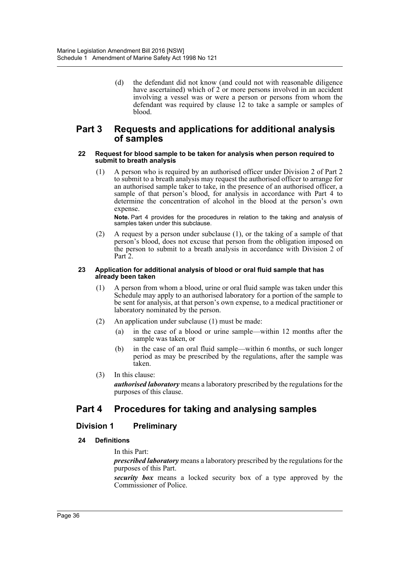(d) the defendant did not know (and could not with reasonable diligence have ascertained) which of 2 or more persons involved in an accident involving a vessel was or were a person or persons from whom the defendant was required by clause 12 to take a sample or samples of blood.

# **Part 3 Requests and applications for additional analysis of samples**

#### **22 Request for blood sample to be taken for analysis when person required to submit to breath analysis**

(1) A person who is required by an authorised officer under Division 2 of Part 2 to submit to a breath analysis may request the authorised officer to arrange for an authorised sample taker to take, in the presence of an authorised officer, a sample of that person's blood, for analysis in accordance with Part 4 to determine the concentration of alcohol in the blood at the person's own expense.

**Note.** Part 4 provides for the procedures in relation to the taking and analysis of samples taken under this subclause.

(2) A request by a person under subclause (1), or the taking of a sample of that person's blood, does not excuse that person from the obligation imposed on the person to submit to a breath analysis in accordance with Division 2 of Part 2.

#### **23 Application for additional analysis of blood or oral fluid sample that has already been taken**

- (1) A person from whom a blood, urine or oral fluid sample was taken under this Schedule may apply to an authorised laboratory for a portion of the sample to be sent for analysis, at that person's own expense, to a medical practitioner or laboratory nominated by the person.
- (2) An application under subclause (1) must be made:
	- (a) in the case of a blood or urine sample—within 12 months after the sample was taken, or
	- (b) in the case of an oral fluid sample—within 6 months, or such longer period as may be prescribed by the regulations, after the sample was taken.
- (3) In this clause: *authorised laboratory* means a laboratory prescribed by the regulations for the purposes of this clause.

# **Part 4 Procedures for taking and analysing samples**

# **Division 1 Preliminary**

# **24 Definitions**

In this Part:

*prescribed laboratory* means a laboratory prescribed by the regulations for the purposes of this Part.

*security box* means a locked security box of a type approved by the Commissioner of Police.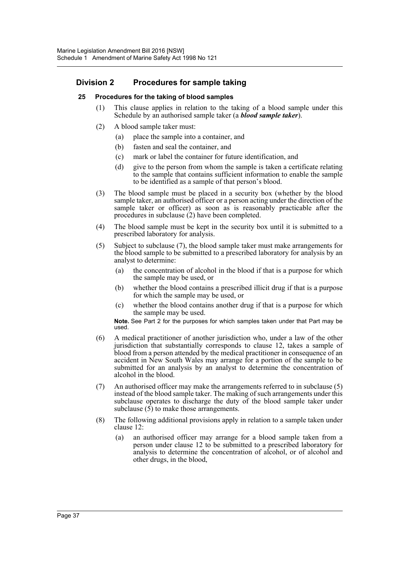# **Division 2 Procedures for sample taking**

# **25 Procedures for the taking of blood samples**

- (1) This clause applies in relation to the taking of a blood sample under this Schedule by an authorised sample taker (a *blood sample taker*).
- (2) A blood sample taker must:
	- (a) place the sample into a container, and
	- (b) fasten and seal the container, and
	- (c) mark or label the container for future identification, and
	- (d) give to the person from whom the sample is taken a certificate relating to the sample that contains sufficient information to enable the sample to be identified as a sample of that person's blood.
- (3) The blood sample must be placed in a security box (whether by the blood sample taker, an authorised officer or a person acting under the direction of the sample taker or officer) as soon as is reasonably practicable after the procedures in subclause (2) have been completed.
- (4) The blood sample must be kept in the security box until it is submitted to a prescribed laboratory for analysis.
- (5) Subject to subclause (7), the blood sample taker must make arrangements for the blood sample to be submitted to a prescribed laboratory for analysis by an analyst to determine:
	- (a) the concentration of alcohol in the blood if that is a purpose for which the sample may be used, or
	- (b) whether the blood contains a prescribed illicit drug if that is a purpose for which the sample may be used, or
	- (c) whether the blood contains another drug if that is a purpose for which the sample may be used.

**Note.** See Part 2 for the purposes for which samples taken under that Part may be used.

- (6) A medical practitioner of another jurisdiction who, under a law of the other jurisdiction that substantially corresponds to clause 12, takes a sample of blood from a person attended by the medical practitioner in consequence of an accident in New South Wales may arrange for a portion of the sample to be submitted for an analysis by an analyst to determine the concentration of alcohol in the blood.
- (7) An authorised officer may make the arrangements referred to in subclause (5) instead of the blood sample taker. The making of such arrangements under this subclause operates to discharge the duty of the blood sample taker under subclause  $(5)$  to make those arrangements.
- (8) The following additional provisions apply in relation to a sample taken under clause 12:
	- (a) an authorised officer may arrange for a blood sample taken from a person under clause 12 to be submitted to a prescribed laboratory for analysis to determine the concentration of alcohol, or of alcohol and other drugs, in the blood,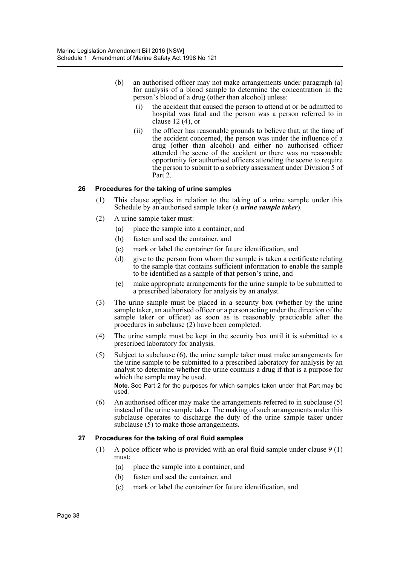- (b) an authorised officer may not make arrangements under paragraph (a) for analysis of a blood sample to determine the concentration in the person's blood of a drug (other than alcohol) unless:
	- (i) the accident that caused the person to attend at or be admitted to hospital was fatal and the person was a person referred to in clause 12 (4), or
	- (ii) the officer has reasonable grounds to believe that, at the time of the accident concerned, the person was under the influence of a drug (other than alcohol) and either no authorised officer attended the scene of the accident or there was no reasonable opportunity for authorised officers attending the scene to require the person to submit to a sobriety assessment under Division 5 of Part 2.

# **26 Procedures for the taking of urine samples**

- (1) This clause applies in relation to the taking of a urine sample under this Schedule by an authorised sample taker (a *urine sample taker*).
- (2) A urine sample taker must:
	- (a) place the sample into a container, and
	- (b) fasten and seal the container, and
	- (c) mark or label the container for future identification, and
	- (d) give to the person from whom the sample is taken a certificate relating to the sample that contains sufficient information to enable the sample to be identified as a sample of that person's urine, and
	- (e) make appropriate arrangements for the urine sample to be submitted to a prescribed laboratory for analysis by an analyst.
- (3) The urine sample must be placed in a security box (whether by the urine sample taker, an authorised officer or a person acting under the direction of the sample taker or officer) as soon as is reasonably practicable after the procedures in subclause (2) have been completed.
- (4) The urine sample must be kept in the security box until it is submitted to a prescribed laboratory for analysis.
- (5) Subject to subclause (6), the urine sample taker must make arrangements for the urine sample to be submitted to a prescribed laboratory for analysis by an analyst to determine whether the urine contains a drug if that is a purpose for which the sample may be used.

**Note.** See Part 2 for the purposes for which samples taken under that Part may be used.

(6) An authorised officer may make the arrangements referred to in subclause (5) instead of the urine sample taker. The making of such arrangements under this subclause operates to discharge the duty of the urine sample taker under subclause  $(5)$  to make those arrangements.

# **27 Procedures for the taking of oral fluid samples**

- (1) A police officer who is provided with an oral fluid sample under clause 9 (1) must:
	- (a) place the sample into a container, and
	- (b) fasten and seal the container, and
	- (c) mark or label the container for future identification, and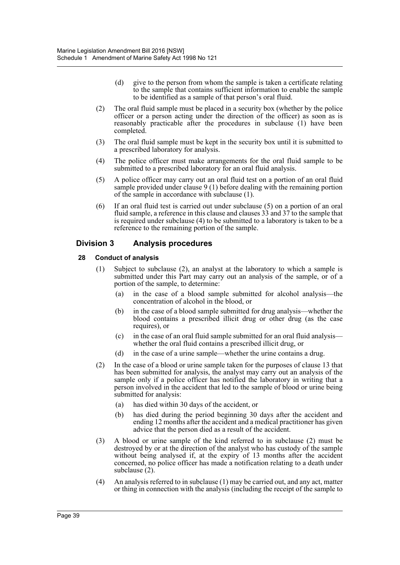- (d) give to the person from whom the sample is taken a certificate relating to the sample that contains sufficient information to enable the sample to be identified as a sample of that person's oral fluid.
- (2) The oral fluid sample must be placed in a security box (whether by the police officer or a person acting under the direction of the officer) as soon as is reasonably practicable after the procedures in subclause (1) have been completed.
- (3) The oral fluid sample must be kept in the security box until it is submitted to a prescribed laboratory for analysis.
- (4) The police officer must make arrangements for the oral fluid sample to be submitted to a prescribed laboratory for an oral fluid analysis.
- (5) A police officer may carry out an oral fluid test on a portion of an oral fluid sample provided under clause 9 (1) before dealing with the remaining portion of the sample in accordance with subclause (1).
- (6) If an oral fluid test is carried out under subclause (5) on a portion of an oral fluid sample, a reference in this clause and clauses 33 and 37 to the sample that is required under subclause (4) to be submitted to a laboratory is taken to be a reference to the remaining portion of the sample.

# **Division 3 Analysis procedures**

# **28 Conduct of analysis**

- (1) Subject to subclause (2), an analyst at the laboratory to which a sample is submitted under this Part may carry out an analysis of the sample, or of a portion of the sample, to determine:
	- (a) in the case of a blood sample submitted for alcohol analysis—the concentration of alcohol in the blood, or
	- (b) in the case of a blood sample submitted for drug analysis—whether the blood contains a prescribed illicit drug or other drug (as the case requires), or
	- (c) in the case of an oral fluid sample submitted for an oral fluid analysis whether the oral fluid contains a prescribed illicit drug, or
	- (d) in the case of a urine sample—whether the urine contains a drug.
- (2) In the case of a blood or urine sample taken for the purposes of clause 13 that has been submitted for analysis, the analyst may carry out an analysis of the sample only if a police officer has notified the laboratory in writing that a person involved in the accident that led to the sample of blood or urine being submitted for analysis:
	- (a) has died within 30 days of the accident, or
	- (b) has died during the period beginning 30 days after the accident and ending 12 months after the accident and a medical practitioner has given advice that the person died as a result of the accident.
- (3) A blood or urine sample of the kind referred to in subclause (2) must be destroyed by or at the direction of the analyst who has custody of the sample without being analysed if, at the expiry of 13 months after the accident concerned, no police officer has made a notification relating to a death under subclause (2).
- (4) An analysis referred to in subclause (1) may be carried out, and any act, matter or thing in connection with the analysis (including the receipt of the sample to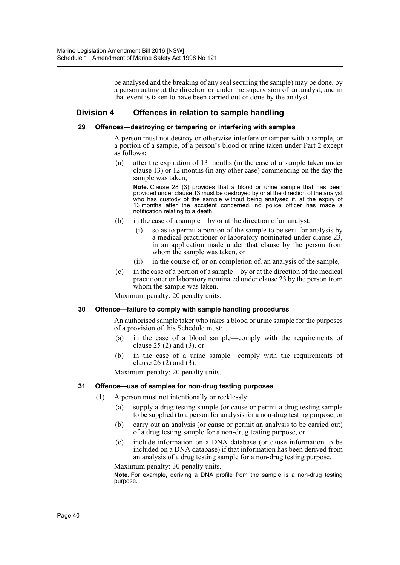be analysed and the breaking of any seal securing the sample) may be done, by a person acting at the direction or under the supervision of an analyst, and in that event is taken to have been carried out or done by the analyst.

# **Division 4 Offences in relation to sample handling**

# **29 Offences—destroying or tampering or interfering with samples**

A person must not destroy or otherwise interfere or tamper with a sample, or a portion of a sample, of a person's blood or urine taken under Part 2 except as follows:

(a) after the expiration of 13 months (in the case of a sample taken under clause 13) or 12 months (in any other case) commencing on the day the sample was taken,

**Note.** Clause 28 (3) provides that a blood or urine sample that has been provided under clause 13 must be destroyed by or at the direction of the analyst who has custody of the sample without being analysed if, at the expiry of 13 months after the accident concerned, no police officer has made a notification relating to a death.

- (b) in the case of a sample—by or at the direction of an analyst:
	- (i) so as to permit a portion of the sample to be sent for analysis by a medical practitioner or laboratory nominated under clause 23, in an application made under that clause by the person from whom the sample was taken, or
	- (ii) in the course of, or on completion of, an analysis of the sample,
- (c) in the case of a portion of a sample—by or at the direction of the medical practitioner or laboratory nominated under clause 23 by the person from whom the sample was taken.

Maximum penalty: 20 penalty units.

# **30 Offence—failure to comply with sample handling procedures**

An authorised sample taker who takes a blood or urine sample for the purposes of a provision of this Schedule must:

- (a) in the case of a blood sample—comply with the requirements of clause 25 (2) and (3), or
- (b) in the case of a urine sample—comply with the requirements of clause 26 (2) and (3).

Maximum penalty: 20 penalty units.

# **31 Offence—use of samples for non-drug testing purposes**

- (1) A person must not intentionally or recklessly:
	- (a) supply a drug testing sample (or cause or permit a drug testing sample to be supplied) to a person for analysis for a non-drug testing purpose, or
	- (b) carry out an analysis (or cause or permit an analysis to be carried out) of a drug testing sample for a non-drug testing purpose, or
	- (c) include information on a DNA database (or cause information to be included on a DNA database) if that information has been derived from an analysis of a drug testing sample for a non-drug testing purpose.

Maximum penalty: 30 penalty units.

**Note.** For example, deriving a DNA profile from the sample is a non-drug testing purpose.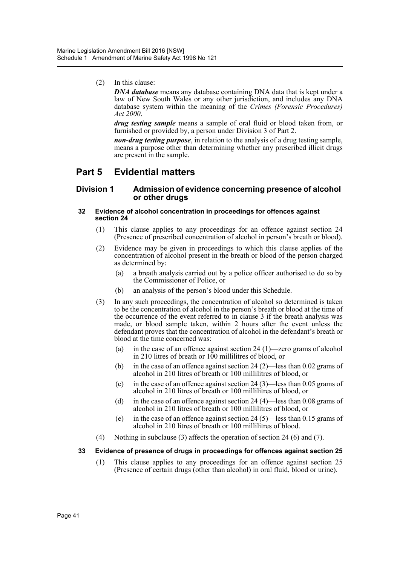(2) In this clause:

*DNA database* means any database containing DNA data that is kept under a law of New South Wales or any other jurisdiction, and includes any DNA database system within the meaning of the *Crimes (Forensic Procedures) Act 2000*.

*drug testing sample* means a sample of oral fluid or blood taken from, or furnished or provided by, a person under Division 3 of Part 2.

*non-drug testing purpose*, in relation to the analysis of a drug testing sample, means a purpose other than determining whether any prescribed illicit drugs are present in the sample.

# **Part 5 Evidential matters**

# **Division 1 Admission of evidence concerning presence of alcohol or other drugs**

#### **32 Evidence of alcohol concentration in proceedings for offences against section 24**

- (1) This clause applies to any proceedings for an offence against section 24 (Presence of prescribed concentration of alcohol in person's breath or blood).
- (2) Evidence may be given in proceedings to which this clause applies of the concentration of alcohol present in the breath or blood of the person charged as determined by:
	- (a) a breath analysis carried out by a police officer authorised to do so by the Commissioner of Police, or
	- (b) an analysis of the person's blood under this Schedule.
- (3) In any such proceedings, the concentration of alcohol so determined is taken to be the concentration of alcohol in the person's breath or blood at the time of the occurrence of the event referred to in clause 3 if the breath analysis was made, or blood sample taken, within 2 hours after the event unless the defendant proves that the concentration of alcohol in the defendant's breath or blood at the time concerned was:
	- (a) in the case of an offence against section 24 (1)—zero grams of alcohol in 210 litres of breath or 100 millilitres of blood, or
	- (b) in the case of an offence against section 24 (2)—less than 0.02 grams of alcohol in 210 litres of breath or 100 millilitres of blood, or
	- (c) in the case of an offence against section  $24(3)$ —less than 0.05 grams of alcohol in 210 litres of breath or 100 millilitres of blood, or
	- (d) in the case of an offence against section 24 (4)—less than 0.08 grams of alcohol in 210 litres of breath or 100 millilitres of blood, or
	- (e) in the case of an offence against section 24 (5)—less than 0.15 grams of alcohol in 210 litres of breath or 100 millilitres of blood.
- (4) Nothing in subclause (3) affects the operation of section 24 (6) and (7).

# **33 Evidence of presence of drugs in proceedings for offences against section 25**

(1) This clause applies to any proceedings for an offence against section 25 (Presence of certain drugs (other than alcohol) in oral fluid, blood or urine).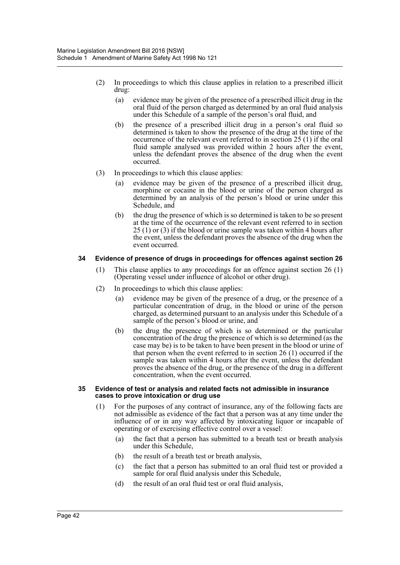- (2) In proceedings to which this clause applies in relation to a prescribed illicit drug:
	- (a) evidence may be given of the presence of a prescribed illicit drug in the oral fluid of the person charged as determined by an oral fluid analysis under this Schedule of a sample of the person's oral fluid, and
	- (b) the presence of a prescribed illicit drug in a person's oral fluid so determined is taken to show the presence of the drug at the time of the occurrence of the relevant event referred to in section 25 (1) if the oral fluid sample analysed was provided within 2 hours after the event, unless the defendant proves the absence of the drug when the event occurred.
- (3) In proceedings to which this clause applies:
	- (a) evidence may be given of the presence of a prescribed illicit drug, morphine or cocaine in the blood or urine of the person charged as determined by an analysis of the person's blood or urine under this Schedule, and
	- (b) the drug the presence of which is so determined is taken to be so present at the time of the occurrence of the relevant event referred to in section 25 (1) or (3) if the blood or urine sample was taken within 4 hours after the event, unless the defendant proves the absence of the drug when the event occurred.

# **34 Evidence of presence of drugs in proceedings for offences against section 26**

- (1) This clause applies to any proceedings for an offence against section 26 (1) (Operating vessel under influence of alcohol or other drug).
- (2) In proceedings to which this clause applies:
	- (a) evidence may be given of the presence of a drug, or the presence of a particular concentration of drug, in the blood or urine of the person charged, as determined pursuant to an analysis under this Schedule of a sample of the person's blood or urine, and
	- (b) the drug the presence of which is so determined or the particular concentration of the drug the presence of which is so determined (as the case may be) is to be taken to have been present in the blood or urine of that person when the event referred to in section 26 (1) occurred if the sample was taken within 4 hours after the event, unless the defendant proves the absence of the drug, or the presence of the drug in a different concentration, when the event occurred.

#### **35 Evidence of test or analysis and related facts not admissible in insurance cases to prove intoxication or drug use**

- (1) For the purposes of any contract of insurance, any of the following facts are not admissible as evidence of the fact that a person was at any time under the influence of or in any way affected by intoxicating liquor or incapable of operating or of exercising effective control over a vessel:
	- (a) the fact that a person has submitted to a breath test or breath analysis under this Schedule,
	- (b) the result of a breath test or breath analysis,
	- (c) the fact that a person has submitted to an oral fluid test or provided a sample for oral fluid analysis under this Schedule,
	- (d) the result of an oral fluid test or oral fluid analysis,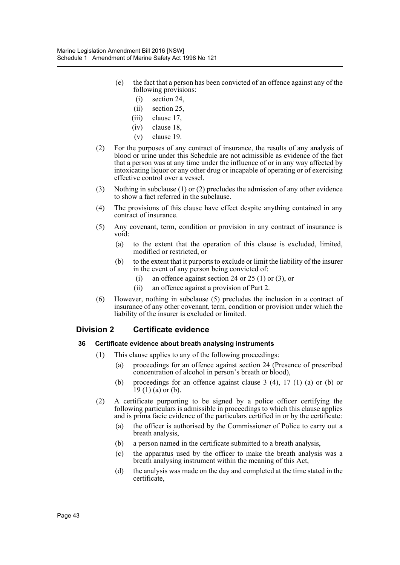- (e) the fact that a person has been convicted of an offence against any of the following provisions:
	- (i) section 24,
	- (ii) section 25,
	- (iii) clause 17,
	- (iv) clause 18,
	- (v) clause 19.
- (2) For the purposes of any contract of insurance, the results of any analysis of blood or urine under this Schedule are not admissible as evidence of the fact that a person was at any time under the influence of or in any way affected by intoxicating liquor or any other drug or incapable of operating or of exercising effective control over a vessel.
- (3) Nothing in subclause (1) or (2) precludes the admission of any other evidence to show a fact referred in the subclause.
- (4) The provisions of this clause have effect despite anything contained in any contract of insurance.
- (5) Any covenant, term, condition or provision in any contract of insurance is void:
	- (a) to the extent that the operation of this clause is excluded, limited, modified or restricted, or
	- (b) to the extent that it purports to exclude or limit the liability of the insurer in the event of any person being convicted of:
		- (i) an offence against section 24 or 25 (1) or (3), or
		- (ii) an offence against a provision of Part 2.
- (6) However, nothing in subclause (5) precludes the inclusion in a contract of insurance of any other covenant, term, condition or provision under which the liability of the insurer is excluded or limited.

# **Division 2 Certificate evidence**

# **36 Certificate evidence about breath analysing instruments**

- (1) This clause applies to any of the following proceedings:
	- (a) proceedings for an offence against section 24 (Presence of prescribed concentration of alcohol in person's breath or blood),
	- (b) proceedings for an offence against clause 3 (4), 17 (1) (a) or (b) or  $19(1)$  (a) or (b).
- (2) A certificate purporting to be signed by a police officer certifying the following particulars is admissible in proceedings to which this clause applies and is prima facie evidence of the particulars certified in or by the certificate:
	- (a) the officer is authorised by the Commissioner of Police to carry out a breath analysis,
	- (b) a person named in the certificate submitted to a breath analysis,
	- (c) the apparatus used by the officer to make the breath analysis was a breath analysing instrument within the meaning of this Act,
	- (d) the analysis was made on the day and completed at the time stated in the certificate,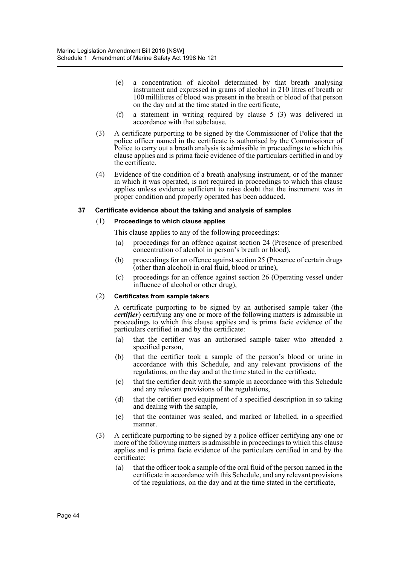- (e) a concentration of alcohol determined by that breath analysing instrument and expressed in grams of alcohol in 210 litres of breath or 100 millilitres of blood was present in the breath or blood of that person on the day and at the time stated in the certificate,
- (f) a statement in writing required by clause 5 (3) was delivered in accordance with that subclause.
- (3) A certificate purporting to be signed by the Commissioner of Police that the police officer named in the certificate is authorised by the Commissioner of Police to carry out a breath analysis is admissible in proceedings to which this clause applies and is prima facie evidence of the particulars certified in and by the certificate.
- (4) Evidence of the condition of a breath analysing instrument, or of the manner in which it was operated, is not required in proceedings to which this clause applies unless evidence sufficient to raise doubt that the instrument was in proper condition and properly operated has been adduced.

# **37 Certificate evidence about the taking and analysis of samples**

# (1) **Proceedings to which clause applies**

- This clause applies to any of the following proceedings:
- (a) proceedings for an offence against section 24 (Presence of prescribed concentration of alcohol in person's breath or blood),
- (b) proceedings for an offence against section 25 (Presence of certain drugs (other than alcohol) in oral fluid, blood or urine),
- (c) proceedings for an offence against section 26 (Operating vessel under influence of alcohol or other drug),

# (2) **Certificates from sample takers**

A certificate purporting to be signed by an authorised sample taker (the *certifier*) certifying any one or more of the following matters is admissible in proceedings to which this clause applies and is prima facie evidence of the particulars certified in and by the certificate:

- (a) that the certifier was an authorised sample taker who attended a specified person,
- (b) that the certifier took a sample of the person's blood or urine in accordance with this Schedule, and any relevant provisions of the regulations, on the day and at the time stated in the certificate,
- (c) that the certifier dealt with the sample in accordance with this Schedule and any relevant provisions of the regulations,
- (d) that the certifier used equipment of a specified description in so taking and dealing with the sample,
- (e) that the container was sealed, and marked or labelled, in a specified manner.
- (3) A certificate purporting to be signed by a police officer certifying any one or more of the following matters is admissible in proceedings to which this clause applies and is prima facie evidence of the particulars certified in and by the certificate:
	- (a) that the officer took a sample of the oral fluid of the person named in the certificate in accordance with this Schedule, and any relevant provisions of the regulations, on the day and at the time stated in the certificate,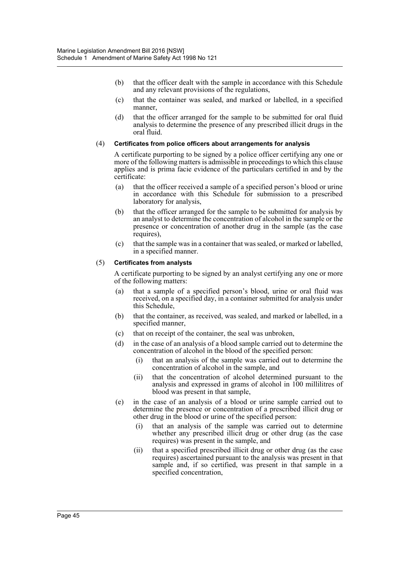- (b) that the officer dealt with the sample in accordance with this Schedule and any relevant provisions of the regulations,
- (c) that the container was sealed, and marked or labelled, in a specified manner,
- (d) that the officer arranged for the sample to be submitted for oral fluid analysis to determine the presence of any prescribed illicit drugs in the oral fluid.

# (4) **Certificates from police officers about arrangements for analysis**

A certificate purporting to be signed by a police officer certifying any one or more of the following matters is admissible in proceedings to which this clause applies and is prima facie evidence of the particulars certified in and by the certificate:

- (a) that the officer received a sample of a specified person's blood or urine in accordance with this Schedule for submission to a prescribed laboratory for analysis,
- (b) that the officer arranged for the sample to be submitted for analysis by an analyst to determine the concentration of alcohol in the sample or the presence or concentration of another drug in the sample (as the case requires).
- (c) that the sample was in a container that was sealed, or marked or labelled, in a specified manner.

#### (5) **Certificates from analysts**

A certificate purporting to be signed by an analyst certifying any one or more of the following matters:

- (a) that a sample of a specified person's blood, urine or oral fluid was received, on a specified day, in a container submitted for analysis under this Schedule,
- (b) that the container, as received, was sealed, and marked or labelled, in a specified manner,
- (c) that on receipt of the container, the seal was unbroken,
- (d) in the case of an analysis of a blood sample carried out to determine the concentration of alcohol in the blood of the specified person:
	- (i) that an analysis of the sample was carried out to determine the concentration of alcohol in the sample, and
	- (ii) that the concentration of alcohol determined pursuant to the analysis and expressed in grams of alcohol in 100 millilitres of blood was present in that sample,
- (e) in the case of an analysis of a blood or urine sample carried out to determine the presence or concentration of a prescribed illicit drug or other drug in the blood or urine of the specified person:
	- (i) that an analysis of the sample was carried out to determine whether any prescribed illicit drug or other drug (as the case requires) was present in the sample, and
	- (ii) that a specified prescribed illicit drug or other drug (as the case requires) ascertained pursuant to the analysis was present in that sample and, if so certified, was present in that sample in a specified concentration,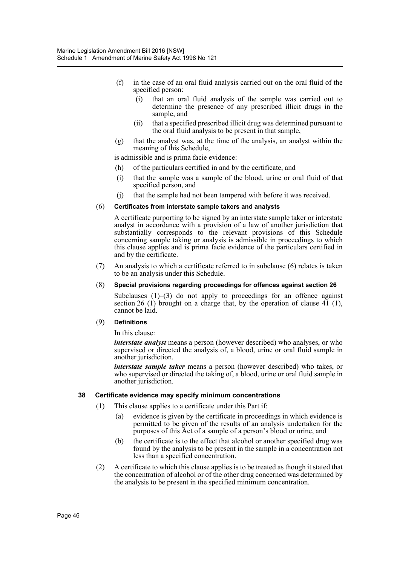- (f) in the case of an oral fluid analysis carried out on the oral fluid of the specified person:
	- (i) that an oral fluid analysis of the sample was carried out to determine the presence of any prescribed illicit drugs in the sample, and
	- (ii) that a specified prescribed illicit drug was determined pursuant to the oral fluid analysis to be present in that sample,
- (g) that the analyst was, at the time of the analysis, an analyst within the meaning of this Schedule,

is admissible and is prima facie evidence:

- (h) of the particulars certified in and by the certificate, and
- (i) that the sample was a sample of the blood, urine or oral fluid of that specified person, and
- (j) that the sample had not been tampered with before it was received.

#### (6) **Certificates from interstate sample takers and analysts**

A certificate purporting to be signed by an interstate sample taker or interstate analyst in accordance with a provision of a law of another jurisdiction that substantially corresponds to the relevant provisions of this Schedule concerning sample taking or analysis is admissible in proceedings to which this clause applies and is prima facie evidence of the particulars certified in and by the certificate.

(7) An analysis to which a certificate referred to in subclause (6) relates is taken to be an analysis under this Schedule.

#### (8) **Special provisions regarding proceedings for offences against section 26**

Subclauses  $(1)$ – $(3)$  do not apply to proceedings for an offence against section 26 (1) brought on a charge that, by the operation of clause 41 (1), cannot be laid.

#### (9) **Definitions**

In this clause:

*interstate analyst* means a person (however described) who analyses, or who supervised or directed the analysis of, a blood, urine or oral fluid sample in another jurisdiction.

*interstate sample taker* means a person (however described) who takes, or who supervised or directed the taking of, a blood, urine or oral fluid sample in another jurisdiction.

#### **38 Certificate evidence may specify minimum concentrations**

- (1) This clause applies to a certificate under this Part if:
	- (a) evidence is given by the certificate in proceedings in which evidence is permitted to be given of the results of an analysis undertaken for the purposes of this Act of a sample of a person's blood or urine, and
	- (b) the certificate is to the effect that alcohol or another specified drug was found by the analysis to be present in the sample in a concentration not less than a specified concentration.
- (2) A certificate to which this clause applies is to be treated as though it stated that the concentration of alcohol or of the other drug concerned was determined by the analysis to be present in the specified minimum concentration.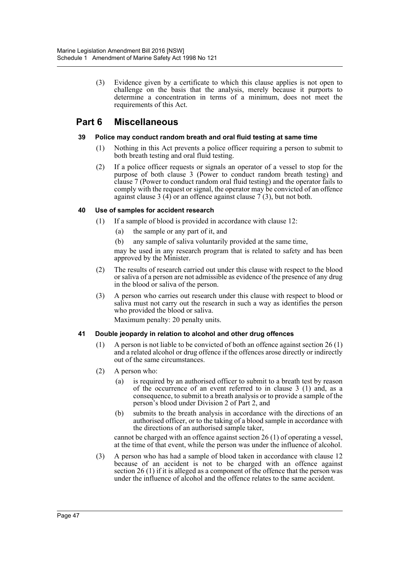(3) Evidence given by a certificate to which this clause applies is not open to challenge on the basis that the analysis, merely because it purports to determine a concentration in terms of a minimum, does not meet the requirements of this Act.

# **Part 6 Miscellaneous**

# **39 Police may conduct random breath and oral fluid testing at same time**

- (1) Nothing in this Act prevents a police officer requiring a person to submit to both breath testing and oral fluid testing.
- (2) If a police officer requests or signals an operator of a vessel to stop for the purpose of both clause 3 (Power to conduct random breath testing) and clause 7 (Power to conduct random oral fluid testing) and the operator fails to comply with the request or signal, the operator may be convicted of an offence against clause 3 (4) or an offence against clause  $\vec{7}$  (3), but not both.

# **40 Use of samples for accident research**

- (1) If a sample of blood is provided in accordance with clause 12:
	- (a) the sample or any part of it, and
	- (b) any sample of saliva voluntarily provided at the same time,

may be used in any research program that is related to safety and has been approved by the Minister.

- (2) The results of research carried out under this clause with respect to the blood or saliva of a person are not admissible as evidence of the presence of any drug in the blood or saliva of the person.
- (3) A person who carries out research under this clause with respect to blood or saliva must not carry out the research in such a way as identifies the person who provided the blood or saliva.

Maximum penalty: 20 penalty units.

# **41 Double jeopardy in relation to alcohol and other drug offences**

- (1) A person is not liable to be convicted of both an offence against section 26 (1) and a related alcohol or drug offence if the offences arose directly or indirectly out of the same circumstances.
- (2) A person who:
	- (a) is required by an authorised officer to submit to a breath test by reason of the occurrence of an event referred to in clause 3 (1) and, as a consequence, to submit to a breath analysis or to provide a sample of the person's blood under Division 2 of Part 2, and
	- (b) submits to the breath analysis in accordance with the directions of an authorised officer, or to the taking of a blood sample in accordance with the directions of an authorised sample taker,

cannot be charged with an offence against section 26 (1) of operating a vessel, at the time of that event, while the person was under the influence of alcohol.

(3) A person who has had a sample of blood taken in accordance with clause 12 because of an accident is not to be charged with an offence against section 26 (1) if it is alleged as a component of the offence that the person was under the influence of alcohol and the offence relates to the same accident.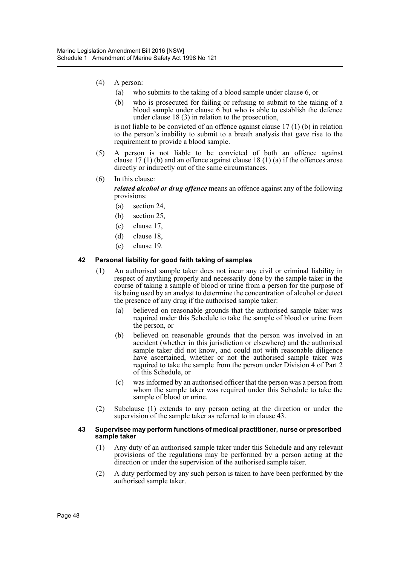- (4) A person:
	- (a) who submits to the taking of a blood sample under clause 6, or
	- (b) who is prosecuted for failing or refusing to submit to the taking of a blood sample under clause  $\overline{6}$  but who is able to establish the defence under clause 18 (3) in relation to the prosecution,

is not liable to be convicted of an offence against clause 17 (1) (b) in relation to the person's inability to submit to a breath analysis that gave rise to the requirement to provide a blood sample.

- (5) A person is not liable to be convicted of both an offence against clause 17 (1) (b) and an offence against clause 18 (1) (a) if the offences arose directly or indirectly out of the same circumstances.
- (6) In this clause:

*related alcohol or drug offence* means an offence against any of the following provisions:

- (a) section 24,
- (b) section 25,
- (c) clause 17,
- (d) clause 18,
- (e) clause 19.

#### **42 Personal liability for good faith taking of samples**

- (1) An authorised sample taker does not incur any civil or criminal liability in respect of anything properly and necessarily done by the sample taker in the course of taking a sample of blood or urine from a person for the purpose of its being used by an analyst to determine the concentration of alcohol or detect the presence of any drug if the authorised sample taker:
	- (a) believed on reasonable grounds that the authorised sample taker was required under this Schedule to take the sample of blood or urine from the person, or
	- (b) believed on reasonable grounds that the person was involved in an accident (whether in this jurisdiction or elsewhere) and the authorised sample taker did not know, and could not with reasonable diligence have ascertained, whether or not the authorised sample taker was required to take the sample from the person under Division 4 of Part 2 of this Schedule, or
	- (c) was informed by an authorised officer that the person was a person from whom the sample taker was required under this Schedule to take the sample of blood or urine.
- (2) Subclause (1) extends to any person acting at the direction or under the supervision of the sample taker as referred to in clause 43.

#### **43 Supervisee may perform functions of medical practitioner, nurse or prescribed sample taker**

- (1) Any duty of an authorised sample taker under this Schedule and any relevant provisions of the regulations may be performed by a person acting at the direction or under the supervision of the authorised sample taker.
- (2) A duty performed by any such person is taken to have been performed by the authorised sample taker.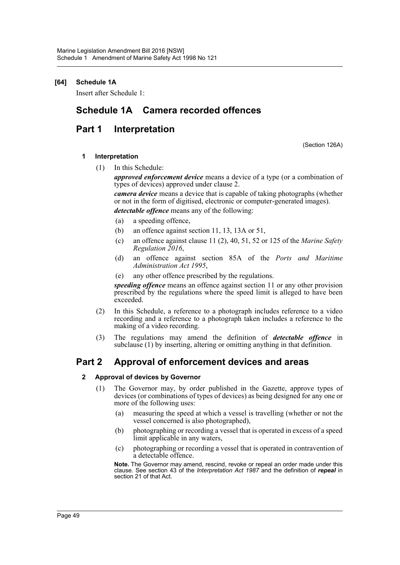# **[64] Schedule 1A**

Insert after Schedule 1:

# **Schedule 1A Camera recorded offences**

# **Part 1 Interpretation**

(Section 126A)

# **1 Interpretation**

(1) In this Schedule:

*approved enforcement device* means a device of a type (or a combination of types of devices) approved under clause 2.

*camera device* means a device that is capable of taking photographs (whether or not in the form of digitised, electronic or computer-generated images).

*detectable offence* means any of the following:

- (a) a speeding offence,
- (b) an offence against section 11, 13, 13A or 51,
- (c) an offence against clause 11 (2), 40, 51, 52 or 125 of the *Marine Safety Regulation 2016*,
- (d) an offence against section 85A of the *Ports and Maritime Administration Act 1995*,
- (e) any other offence prescribed by the regulations.

*speeding offence* means an offence against section 11 or any other provision prescribed by the regulations where the speed limit is alleged to have been exceeded.

- (2) In this Schedule, a reference to a photograph includes reference to a video recording and a reference to a photograph taken includes a reference to the making of a video recording.
- (3) The regulations may amend the definition of *detectable offence* in subclause (1) by inserting, altering or omitting anything in that definition.

# **Part 2 Approval of enforcement devices and areas**

# **2 Approval of devices by Governor**

- (1) The Governor may, by order published in the Gazette, approve types of devices (or combinations of types of devices) as being designed for any one or more of the following uses:
	- (a) measuring the speed at which a vessel is travelling (whether or not the vessel concerned is also photographed),
	- (b) photographing or recording a vessel that is operated in excess of a speed limit applicable in any waters,
	- (c) photographing or recording a vessel that is operated in contravention of a detectable offence.

**Note.** The Governor may amend, rescind, revoke or repeal an order made under this clause. See section 43 of the *Interpretation Act 1987* and the definition of *repeal* in section 21 of that Act.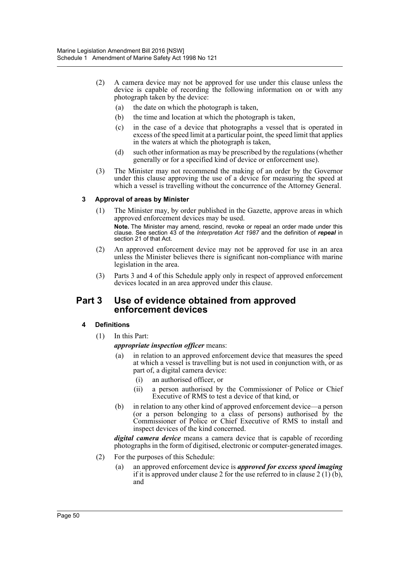- (2) A camera device may not be approved for use under this clause unless the device is capable of recording the following information on or with any photograph taken by the device:
	- (a) the date on which the photograph is taken,
	- (b) the time and location at which the photograph is taken,
	- (c) in the case of a device that photographs a vessel that is operated in excess of the speed limit at a particular point, the speed limit that applies in the waters at which the photograph is taken,
	- (d) such other information as may be prescribed by the regulations (whether generally or for a specified kind of device or enforcement use).
- (3) The Minister may not recommend the making of an order by the Governor under this clause approving the use of a device for measuring the speed at which a vessel is travelling without the concurrence of the Attorney General.

# **3 Approval of areas by Minister**

- (1) The Minister may, by order published in the Gazette, approve areas in which approved enforcement devices may be used. **Note.** The Minister may amend, rescind, revoke or repeal an order made under this clause. See section 43 of the *Interpretation Act 1987* and the definition of *repeal* in section 21 of that Act.
- (2) An approved enforcement device may not be approved for use in an area unless the Minister believes there is significant non-compliance with marine legislation in the area.
- (3) Parts 3 and 4 of this Schedule apply only in respect of approved enforcement devices located in an area approved under this clause.

# **Part 3 Use of evidence obtained from approved enforcement devices**

# **4 Definitions**

(1) In this Part:

*appropriate inspection officer* means:

- (a) in relation to an approved enforcement device that measures the speed at which a vessel is travelling but is not used in conjunction with, or as part of, a digital camera device:
	- (i) an authorised officer, or
	- (ii) a person authorised by the Commissioner of Police or Chief Executive of RMS to test a device of that kind, or
- (b) in relation to any other kind of approved enforcement device—a person (or a person belonging to a class of persons) authorised by the Commissioner of Police or Chief Executive of RMS to install and inspect devices of the kind concerned.

*digital camera device* means a camera device that is capable of recording photographs in the form of digitised, electronic or computer-generated images.

- (2) For the purposes of this Schedule:
	- (a) an approved enforcement device is *approved for excess speed imaging* if it is approved under clause 2 for the use referred to in clause 2 (1) (b), and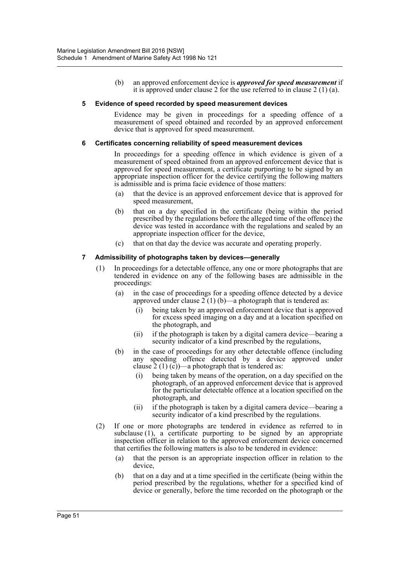(b) an approved enforcement device is *approved for speed measurement* if it is approved under clause 2 for the use referred to in clause 2 (1) (a).

#### **5 Evidence of speed recorded by speed measurement devices**

Evidence may be given in proceedings for a speeding offence of a measurement of speed obtained and recorded by an approved enforcement device that is approved for speed measurement.

#### **6 Certificates concerning reliability of speed measurement devices**

In proceedings for a speeding offence in which evidence is given of a measurement of speed obtained from an approved enforcement device that is approved for speed measurement, a certificate purporting to be signed by an appropriate inspection officer for the device certifying the following matters is admissible and is prima facie evidence of those matters:

- (a) that the device is an approved enforcement device that is approved for speed measurement,
- (b) that on a day specified in the certificate (being within the period prescribed by the regulations before the alleged time of the offence) the device was tested in accordance with the regulations and sealed by an appropriate inspection officer for the device,
- (c) that on that day the device was accurate and operating properly.

# **7 Admissibility of photographs taken by devices—generally**

- (1) In proceedings for a detectable offence, any one or more photographs that are tendered in evidence on any of the following bases are admissible in the proceedings:
	- (a) in the case of proceedings for a speeding offence detected by a device approved under clause  $2(1)(b)$ —a photograph that is tendered as:
		- (i) being taken by an approved enforcement device that is approved for excess speed imaging on a day and at a location specified on the photograph, and
		- (ii) if the photograph is taken by a digital camera device—bearing a security indicator of a kind prescribed by the regulations,
	- (b) in the case of proceedings for any other detectable offence (including any speeding offence detected by a device approved under clause  $2(1)(c)$ —a photograph that is tendered as:
		- being taken by means of the operation, on a day specified on the photograph, of an approved enforcement device that is approved for the particular detectable offence at a location specified on the photograph, and
		- (ii) if the photograph is taken by a digital camera device—bearing a security indicator of a kind prescribed by the regulations.
- (2) If one or more photographs are tendered in evidence as referred to in subclause  $(1)$ , a certificate purporting to be signed by an appropriate inspection officer in relation to the approved enforcement device concerned that certifies the following matters is also to be tendered in evidence:
	- (a) that the person is an appropriate inspection officer in relation to the device,
	- (b) that on a day and at a time specified in the certificate (being within the period prescribed by the regulations, whether for a specified kind of device or generally, before the time recorded on the photograph or the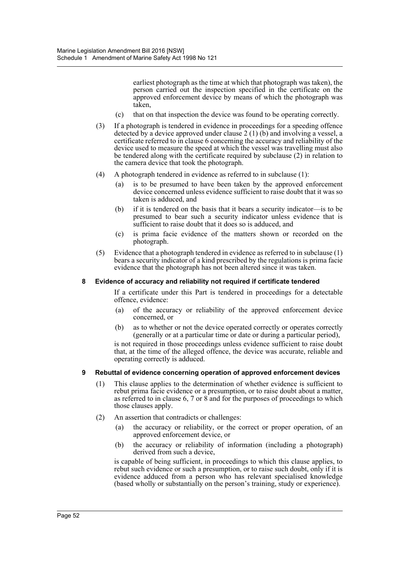earliest photograph as the time at which that photograph was taken), the person carried out the inspection specified in the certificate on the approved enforcement device by means of which the photograph was taken,

- (c) that on that inspection the device was found to be operating correctly.
- (3) If a photograph is tendered in evidence in proceedings for a speeding offence detected by a device approved under clause 2 (1) (b) and involving a vessel, a certificate referred to in clause 6 concerning the accuracy and reliability of the device used to measure the speed at which the vessel was travelling must also be tendered along with the certificate required by subclause (2) in relation to the camera device that took the photograph.
- (4) A photograph tendered in evidence as referred to in subclause (1):
	- (a) is to be presumed to have been taken by the approved enforcement device concerned unless evidence sufficient to raise doubt that it was so taken is adduced, and
	- (b) if it is tendered on the basis that it bears a security indicator—is to be presumed to bear such a security indicator unless evidence that is sufficient to raise doubt that it does so is adduced, and
	- (c) is prima facie evidence of the matters shown or recorded on the photograph.
- (5) Evidence that a photograph tendered in evidence as referred to in subclause (1) bears a security indicator of a kind prescribed by the regulations is prima facie evidence that the photograph has not been altered since it was taken.

#### **8 Evidence of accuracy and reliability not required if certificate tendered**

If a certificate under this Part is tendered in proceedings for a detectable offence, evidence:

- (a) of the accuracy or reliability of the approved enforcement device concerned, or
- (b) as to whether or not the device operated correctly or operates correctly (generally or at a particular time or date or during a particular period),

is not required in those proceedings unless evidence sufficient to raise doubt that, at the time of the alleged offence, the device was accurate, reliable and operating correctly is adduced.

# **9 Rebuttal of evidence concerning operation of approved enforcement devices**

- (1) This clause applies to the determination of whether evidence is sufficient to rebut prima facie evidence or a presumption, or to raise doubt about a matter, as referred to in clause  $6, 7$  or  $8$  and for the purposes of proceedings to which those clauses apply.
- (2) An assertion that contradicts or challenges:
	- (a) the accuracy or reliability, or the correct or proper operation, of an approved enforcement device, or
	- (b) the accuracy or reliability of information (including a photograph) derived from such a device,

is capable of being sufficient, in proceedings to which this clause applies, to rebut such evidence or such a presumption, or to raise such doubt, only if it is evidence adduced from a person who has relevant specialised knowledge (based wholly or substantially on the person's training, study or experience).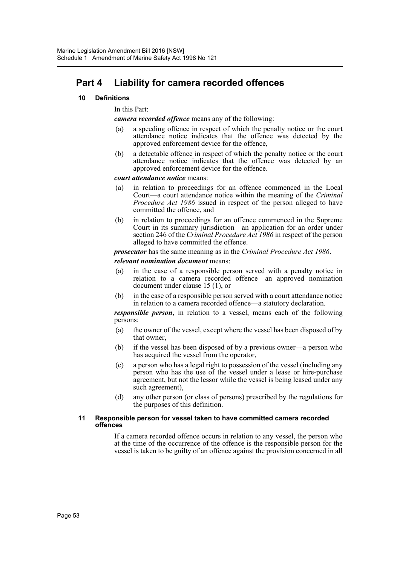# **Part 4 Liability for camera recorded offences**

# **10 Definitions**

In this Part:

*camera recorded offence* means any of the following:

- (a) a speeding offence in respect of which the penalty notice or the court attendance notice indicates that the offence was detected by the approved enforcement device for the offence,
- (b) a detectable offence in respect of which the penalty notice or the court attendance notice indicates that the offence was detected by an approved enforcement device for the offence.

*court attendance notice* means:

- (a) in relation to proceedings for an offence commenced in the Local Court—a court attendance notice within the meaning of the *Criminal Procedure Act 1986* issued in respect of the person alleged to have committed the offence, and
- (b) in relation to proceedings for an offence commenced in the Supreme Court in its summary jurisdiction—an application for an order under section 246 of the *Criminal Procedure Act 1986* in respect of the person alleged to have committed the offence.

*prosecutor* has the same meaning as in the *Criminal Procedure Act 1986*.

*relevant nomination document* means:

- (a) in the case of a responsible person served with a penalty notice in relation to a camera recorded offence—an approved nomination document under clause 15 (1), or
- (b) in the case of a responsible person served with a court attendance notice in relation to a camera recorded offence—a statutory declaration.

*responsible person*, in relation to a vessel, means each of the following persons:

- (a) the owner of the vessel, except where the vessel has been disposed of by that owner,
- (b) if the vessel has been disposed of by a previous owner—a person who has acquired the vessel from the operator,
- (c) a person who has a legal right to possession of the vessel (including any person who has the use of the vessel under a lease or hire-purchase agreement, but not the lessor while the vessel is being leased under any such agreement),
- (d) any other person (or class of persons) prescribed by the regulations for the purposes of this definition.

#### **11 Responsible person for vessel taken to have committed camera recorded offences**

If a camera recorded offence occurs in relation to any vessel, the person who at the time of the occurrence of the offence is the responsible person for the vessel is taken to be guilty of an offence against the provision concerned in all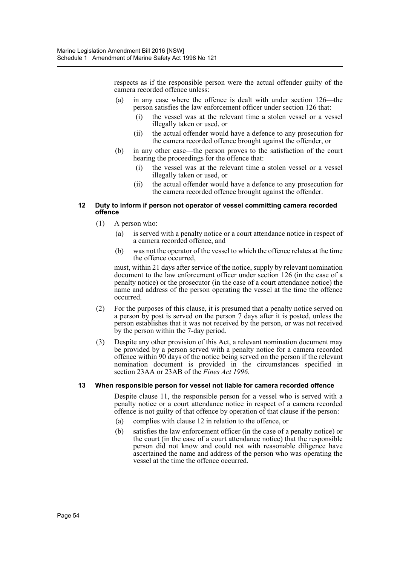respects as if the responsible person were the actual offender guilty of the camera recorded offence unless:

- (a) in any case where the offence is dealt with under section 126—the person satisfies the law enforcement officer under section 126 that:
	- (i) the vessel was at the relevant time a stolen vessel or a vessel illegally taken or used, or
	- (ii) the actual offender would have a defence to any prosecution for the camera recorded offence brought against the offender, or
- (b) in any other case—the person proves to the satisfaction of the court hearing the proceedings for the offence that:
	- (i) the vessel was at the relevant time a stolen vessel or a vessel illegally taken or used, or
	- (ii) the actual offender would have a defence to any prosecution for the camera recorded offence brought against the offender.

#### **12 Duty to inform if person not operator of vessel committing camera recorded offence**

- (1) A person who:
	- (a) is served with a penalty notice or a court attendance notice in respect of a camera recorded offence, and
	- (b) was not the operator of the vessel to which the offence relates at the time the offence occurred,

must, within 21 days after service of the notice, supply by relevant nomination document to the law enforcement officer under section 126 (in the case of a penalty notice) or the prosecutor (in the case of a court attendance notice) the name and address of the person operating the vessel at the time the offence occurred.

- (2) For the purposes of this clause, it is presumed that a penalty notice served on a person by post is served on the person 7 days after it is posted, unless the person establishes that it was not received by the person, or was not received by the person within the 7-day period.
- (3) Despite any other provision of this Act, a relevant nomination document may be provided by a person served with a penalty notice for a camera recorded offence within 90 days of the notice being served on the person if the relevant nomination document is provided in the circumstances specified in section 23AA or 23AB of the *Fines Act 1996*.

# **13 When responsible person for vessel not liable for camera recorded offence**

Despite clause 11, the responsible person for a vessel who is served with a penalty notice or a court attendance notice in respect of a camera recorded offence is not guilty of that offence by operation of that clause if the person:

- (a) complies with clause 12 in relation to the offence, or
- (b) satisfies the law enforcement officer (in the case of a penalty notice) or the court (in the case of a court attendance notice) that the responsible person did not know and could not with reasonable diligence have ascertained the name and address of the person who was operating the vessel at the time the offence occurred.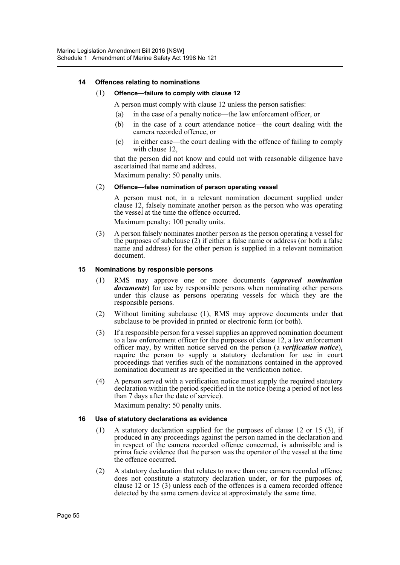# **14 Offences relating to nominations**

# (1) **Offence—failure to comply with clause 12**

A person must comply with clause 12 unless the person satisfies:

- (a) in the case of a penalty notice—the law enforcement officer, or
- (b) in the case of a court attendance notice—the court dealing with the camera recorded offence, or
- (c) in either case—the court dealing with the offence of failing to comply with clause 12,

that the person did not know and could not with reasonable diligence have ascertained that name and address.

Maximum penalty: 50 penalty units.

#### (2) **Offence—false nomination of person operating vessel**

A person must not, in a relevant nomination document supplied under clause 12, falsely nominate another person as the person who was operating the vessel at the time the offence occurred.

Maximum penalty: 100 penalty units.

(3) A person falsely nominates another person as the person operating a vessel for the purposes of subclause (2) if either a false name or address (or both a false name and address) for the other person is supplied in a relevant nomination document.

#### **15 Nominations by responsible persons**

- (1) RMS may approve one or more documents (*approved nomination documents*) for use by responsible persons when nominating other persons under this clause as persons operating vessels for which they are the responsible persons.
- (2) Without limiting subclause (1), RMS may approve documents under that subclause to be provided in printed or electronic form (or both).
- (3) If a responsible person for a vessel supplies an approved nomination document to a law enforcement officer for the purposes of clause 12, a law enforcement officer may, by written notice served on the person (a *verification notice*), require the person to supply a statutory declaration for use in court proceedings that verifies such of the nominations contained in the approved nomination document as are specified in the verification notice.
- (4) A person served with a verification notice must supply the required statutory declaration within the period specified in the notice (being a period of not less than 7 days after the date of service). Maximum penalty: 50 penalty units.

#### **16 Use of statutory declarations as evidence**

- (1) A statutory declaration supplied for the purposes of clause 12 or 15 (3), if produced in any proceedings against the person named in the declaration and in respect of the camera recorded offence concerned, is admissible and is prima facie evidence that the person was the operator of the vessel at the time the offence occurred.
- (2) A statutory declaration that relates to more than one camera recorded offence does not constitute a statutory declaration under, or for the purposes of, clause 12 or 15 (3) unless each of the offences is a camera recorded offence detected by the same camera device at approximately the same time.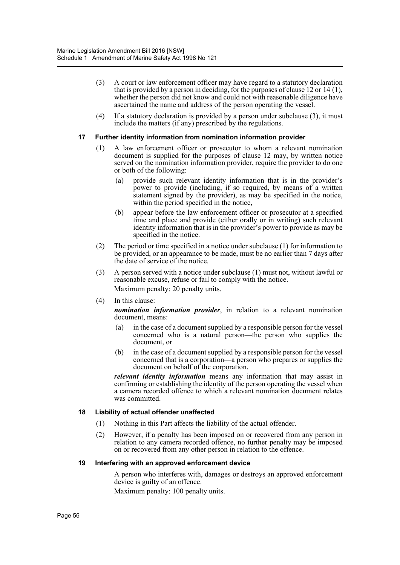- (3) A court or law enforcement officer may have regard to a statutory declaration that is provided by a person in deciding, for the purposes of clause 12 or 14 (1), whether the person did not know and could not with reasonable diligence have ascertained the name and address of the person operating the vessel.
- (4) If a statutory declaration is provided by a person under subclause (3), it must include the matters (if any) prescribed by the regulations.

#### **17 Further identity information from nomination information provider**

- (1) A law enforcement officer or prosecutor to whom a relevant nomination document is supplied for the purposes of clause 12 may, by written notice served on the nomination information provider, require the provider to do one or both of the following:
	- (a) provide such relevant identity information that is in the provider's power to provide (including, if so required, by means of a written statement signed by the provider), as may be specified in the notice, within the period specified in the notice,
	- (b) appear before the law enforcement officer or prosecutor at a specified time and place and provide (either orally or in writing) such relevant identity information that is in the provider's power to provide as may be specified in the notice.
- (2) The period or time specified in a notice under subclause (1) for information to be provided, or an appearance to be made, must be no earlier than 7 days after the date of service of the notice.
- (3) A person served with a notice under subclause (1) must not, without lawful or reasonable excuse, refuse or fail to comply with the notice. Maximum penalty: 20 penalty units.
- (4) In this clause:

*nomination information provider*, in relation to a relevant nomination document, means:

- (a) in the case of a document supplied by a responsible person for the vessel concerned who is a natural person—the person who supplies the document, or
- (b) in the case of a document supplied by a responsible person for the vessel concerned that is a corporation—a person who prepares or supplies the document on behalf of the corporation.

*relevant identity information* means any information that may assist in confirming or establishing the identity of the person operating the vessel when a camera recorded offence to which a relevant nomination document relates was committed.

# **18 Liability of actual offender unaffected**

- (1) Nothing in this Part affects the liability of the actual offender.
- (2) However, if a penalty has been imposed on or recovered from any person in relation to any camera recorded offence, no further penalty may be imposed on or recovered from any other person in relation to the offence.

#### **19 Interfering with an approved enforcement device**

A person who interferes with, damages or destroys an approved enforcement device is guilty of an offence.

Maximum penalty: 100 penalty units.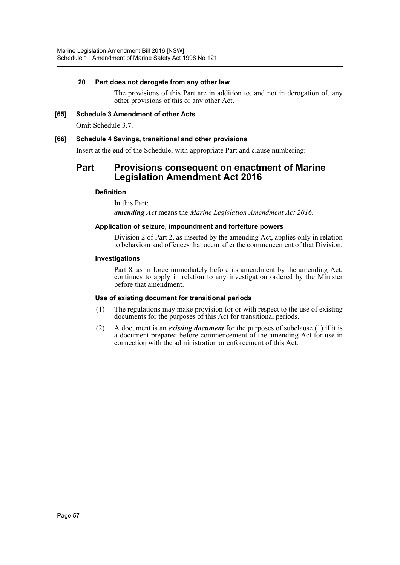# **20 Part does not derogate from any other law**

The provisions of this Part are in addition to, and not in derogation of, any other provisions of this or any other Act.

**[65] Schedule 3 Amendment of other Acts** Omit Schedule 3.7.

# **[66] Schedule 4 Savings, transitional and other provisions**

Insert at the end of the Schedule, with appropriate Part and clause numbering:

# **Part Provisions consequent on enactment of Marine Legislation Amendment Act 2016**

# **Definition**

In this Part:

*amending Act* means the *Marine Legislation Amendment Act 2016*.

# **Application of seizure, impoundment and forfeiture powers**

Division 2 of Part 2, as inserted by the amending Act, applies only in relation to behaviour and offences that occur after the commencement of that Division.

#### **Investigations**

Part 8, as in force immediately before its amendment by the amending Act, continues to apply in relation to any investigation ordered by the Minister before that amendment.

# **Use of existing document for transitional periods**

- (1) The regulations may make provision for or with respect to the use of existing documents for the purposes of this Act for transitional periods.
- (2) A document is an *existing document* for the purposes of subclause (1) if it is a document prepared before commencement of the amending Act for use in connection with the administration or enforcement of this Act.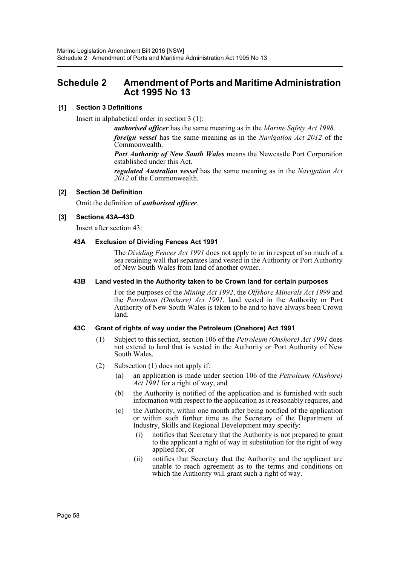# <span id="page-58-0"></span>**Schedule 2 Amendment of Ports and Maritime Administration Act 1995 No 13**

# **[1] Section 3 Definitions**

Insert in alphabetical order in section 3 (1):

*authorised officer* has the same meaning as in the *Marine Safety Act 1998*. *foreign vessel* has the same meaning as in the *Navigation Act 2012* of the Commonwealth.

*Port Authority of New South Wales* means the Newcastle Port Corporation established under this Act.

*regulated Australian vessel* has the same meaning as in the *Navigation Act 2012* of the Commonwealth.

# **[2] Section 36 Definition**

Omit the definition of *authorised officer*.

# **[3] Sections 43A–43D**

Insert after section 43:

# **43A Exclusion of Dividing Fences Act 1991**

The *Dividing Fences Act 1991* does not apply to or in respect of so much of a sea retaining wall that separates land vested in the Authority or Port Authority of New South Wales from land of another owner.

# **43B Land vested in the Authority taken to be Crown land for certain purposes**

For the purposes of the *Mining Act 1992*, the *Offshore Minerals Act 1999* and the *Petroleum (Onshore) Act 1991*, land vested in the Authority or Port Authority of New South Wales is taken to be and to have always been Crown land.

# **43C Grant of rights of way under the Petroleum (Onshore) Act 1991**

- (1) Subject to this section, section 106 of the *Petroleum (Onshore) Act 1991* does not extend to land that is vested in the Authority or Port Authority of New South Wales.
- (2) Subsection (1) does not apply if:
	- (a) an application is made under section 106 of the *Petroleum (Onshore) Act 1991* for a right of way, and
	- (b) the Authority is notified of the application and is furnished with such information with respect to the application as it reasonably requires, and
	- (c) the Authority, within one month after being notified of the application or within such further time as the Secretary of the Department of Industry, Skills and Regional Development may specify:
		- (i) notifies that Secretary that the Authority is not prepared to grant to the applicant a right of way in substitution for the right of way applied for, or
		- (ii) notifies that Secretary that the Authority and the applicant are unable to reach agreement as to the terms and conditions on which the Authority will grant such a right of way.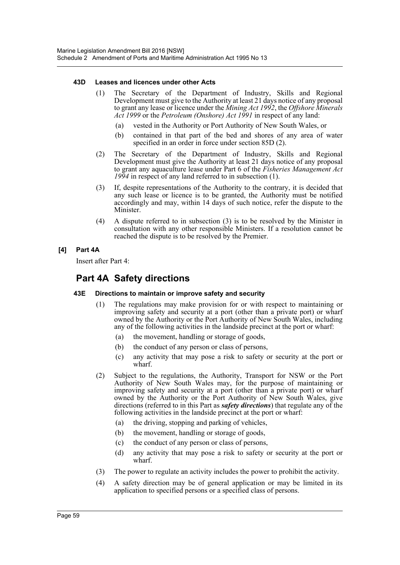#### **43D Leases and licences under other Acts**

- (1) The Secretary of the Department of Industry, Skills and Regional Development must give to the Authority at least 21 days notice of any proposal to grant any lease or licence under the *Mining Act 1992*, the *Offshore Minerals Act 1999* or the *Petroleum (Onshore) Act 1991* in respect of any land:
	- (a) vested in the Authority or Port Authority of New South Wales, or
	- (b) contained in that part of the bed and shores of any area of water specified in an order in force under section 85D (2).
- (2) The Secretary of the Department of Industry, Skills and Regional Development must give the Authority at least 21 days notice of any proposal to grant any aquaculture lease under Part 6 of the *Fisheries Management Act 1994* in respect of any land referred to in subsection (1).
- (3) If, despite representations of the Authority to the contrary, it is decided that any such lease or licence is to be granted, the Authority must be notified accordingly and may, within 14 days of such notice, refer the dispute to the Minister.
- (4) A dispute referred to in subsection (3) is to be resolved by the Minister in consultation with any other responsible Ministers. If a resolution cannot be reached the dispute is to be resolved by the Premier.

# **[4] Part 4A**

Insert after Part 4:

# **Part 4A Safety directions**

# **43E Directions to maintain or improve safety and security**

- (1) The regulations may make provision for or with respect to maintaining or improving safety and security at a port (other than a private port) or wharf owned by the Authority or the Port Authority of New South Wales, including any of the following activities in the landside precinct at the port or wharf:
	- (a) the movement, handling or storage of goods,
	- (b) the conduct of any person or class of persons,
	- (c) any activity that may pose a risk to safety or security at the port or wharf.
- (2) Subject to the regulations, the Authority, Transport for NSW or the Port Authority of New South Wales may, for the purpose of maintaining or improving safety and security at a port (other than a private port) or wharf owned by the Authority or the Port Authority of New South Wales, give directions (referred to in this Part as *safety directions*) that regulate any of the following activities in the landside precinct at the port or wharf:
	- (a) the driving, stopping and parking of vehicles,
	- (b) the movement, handling or storage of goods,
	- (c) the conduct of any person or class of persons,
	- (d) any activity that may pose a risk to safety or security at the port or wharf.
- (3) The power to regulate an activity includes the power to prohibit the activity.
- (4) A safety direction may be of general application or may be limited in its application to specified persons or a specified class of persons.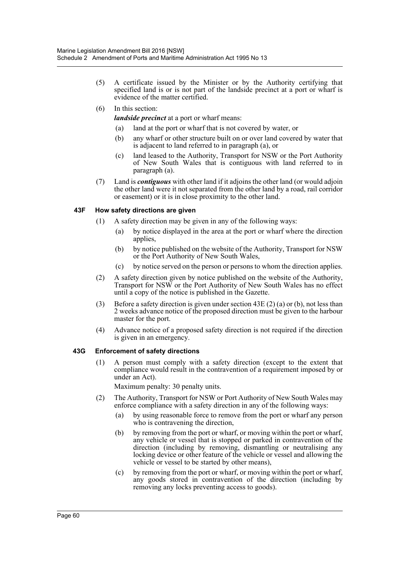- (5) A certificate issued by the Minister or by the Authority certifying that specified land is or is not part of the landside precinct at a port or wharf is evidence of the matter certified.
- (6) In this section:

*landside precinct* at a port or wharf means:

- (a) land at the port or wharf that is not covered by water, or
- (b) any wharf or other structure built on or over land covered by water that is adjacent to land referred to in paragraph (a), or
- (c) land leased to the Authority, Transport for NSW or the Port Authority of New South Wales that is contiguous with land referred to in paragraph (a).
- (7) Land is *contiguous* with other land if it adjoins the other land (or would adjoin the other land were it not separated from the other land by a road, rail corridor or easement) or it is in close proximity to the other land.

# **43F How safety directions are given**

- (1) A safety direction may be given in any of the following ways:
	- (a) by notice displayed in the area at the port or wharf where the direction applies,
	- (b) by notice published on the website of the Authority, Transport for NSW or the Port Authority of New South Wales,
	- (c) by notice served on the person or persons to whom the direction applies.
- (2) A safety direction given by notice published on the website of the Authority, Transport for NSW or the Port Authority of New South Wales has no effect until a copy of the notice is published in the Gazette.
- (3) Before a safety direction is given under section 43E (2) (a) or (b), not less than 2 weeks advance notice of the proposed direction must be given to the harbour master for the port.
- (4) Advance notice of a proposed safety direction is not required if the direction is given in an emergency.

# **43G Enforcement of safety directions**

(1) A person must comply with a safety direction (except to the extent that compliance would result in the contravention of a requirement imposed by or under an Act).

Maximum penalty: 30 penalty units.

- (2) The Authority, Transport for NSW or Port Authority of New South Wales may enforce compliance with a safety direction in any of the following ways:
	- (a) by using reasonable force to remove from the port or wharf any person who is contravening the direction,
	- (b) by removing from the port or wharf, or moving within the port or wharf, any vehicle or vessel that is stopped or parked in contravention of the direction (including by removing, dismantling or neutralising any locking device or other feature of the vehicle or vessel and allowing the vehicle or vessel to be started by other means),
	- (c) by removing from the port or wharf, or moving within the port or wharf, any goods stored in contravention of the direction (including by removing any locks preventing access to goods).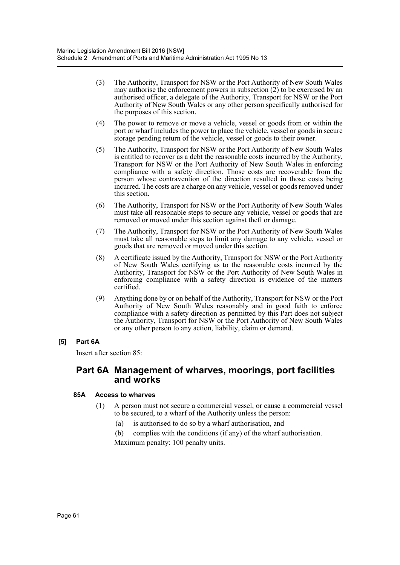- (3) The Authority, Transport for NSW or the Port Authority of New South Wales may authorise the enforcement powers in subsection (2) to be exercised by an authorised officer, a delegate of the Authority, Transport for NSW or the Port Authority of New South Wales or any other person specifically authorised for the purposes of this section.
- (4) The power to remove or move a vehicle, vessel or goods from or within the port or wharf includes the power to place the vehicle, vessel or goods in secure storage pending return of the vehicle, vessel or goods to their owner.
- (5) The Authority, Transport for NSW or the Port Authority of New South Wales is entitled to recover as a debt the reasonable costs incurred by the Authority, Transport for NSW or the Port Authority of New South Wales in enforcing compliance with a safety direction. Those costs are recoverable from the person whose contravention of the direction resulted in those costs being incurred. The costs are a charge on any vehicle, vessel or goods removed under this section.
- (6) The Authority, Transport for NSW or the Port Authority of New South Wales must take all reasonable steps to secure any vehicle, vessel or goods that are removed or moved under this section against theft or damage.
- (7) The Authority, Transport for NSW or the Port Authority of New South Wales must take all reasonable steps to limit any damage to any vehicle, vessel or goods that are removed or moved under this section.
- (8) A certificate issued by the Authority, Transport for NSW or the Port Authority of New South Wales certifying as to the reasonable costs incurred by the Authority, Transport for NSW or the Port Authority of New South Wales in enforcing compliance with a safety direction is evidence of the matters certified.
- (9) Anything done by or on behalf of the Authority, Transport for NSW or the Port Authority of New South Wales reasonably and in good faith to enforce compliance with a safety direction as permitted by this Part does not subject the Authority, Transport for NSW or the Port Authority of New South Wales or any other person to any action, liability, claim or demand.

# **[5] Part 6A**

Insert after section 85:

# **Part 6A Management of wharves, moorings, port facilities and works**

# **85A Access to wharves**

- (1) A person must not secure a commercial vessel, or cause a commercial vessel to be secured, to a wharf of the Authority unless the person:
	- (a) is authorised to do so by a wharf authorisation, and

(b) complies with the conditions (if any) of the wharf authorisation.

Maximum penalty: 100 penalty units.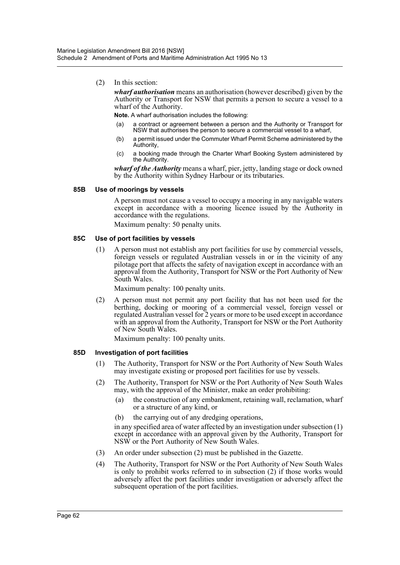(2) In this section:

*wharf authorisation* means an authorisation (however described) given by the Authority or Transport for NSW that permits a person to secure a vessel to a wharf of the Authority.

**Note.** A wharf authorisation includes the following:

- (a) a contract or agreement between a person and the Authority or Transport for NSW that authorises the person to secure a commercial vessel to a wharf,
- (b) a permit issued under the Commuter Wharf Permit Scheme administered by the Authority,
- (c) a booking made through the Charter Wharf Booking System administered by the Authority.

*wharf of the Authority* means a wharf, pier, jetty, landing stage or dock owned by the Authority within Sydney Harbour or its tributaries.

#### **85B Use of moorings by vessels**

A person must not cause a vessel to occupy a mooring in any navigable waters except in accordance with a mooring licence issued by the Authority in accordance with the regulations.

Maximum penalty: 50 penalty units.

# **85C Use of port facilities by vessels**

(1) A person must not establish any port facilities for use by commercial vessels, foreign vessels or regulated Australian vessels in or in the vicinity of any pilotage port that affects the safety of navigation except in accordance with an approval from the Authority, Transport for NSW or the Port Authority of New South Wales.

Maximum penalty: 100 penalty units.

(2) A person must not permit any port facility that has not been used for the berthing, docking or mooring of a commercial vessel, foreign vessel or regulated Australian vessel for 2 years or more to be used except in accordance with an approval from the Authority, Transport for NSW or the Port Authority of New South Wales.

Maximum penalty: 100 penalty units.

#### **85D Investigation of port facilities**

- (1) The Authority, Transport for NSW or the Port Authority of New South Wales may investigate existing or proposed port facilities for use by vessels.
- (2) The Authority, Transport for NSW or the Port Authority of New South Wales may, with the approval of the Minister, make an order prohibiting:
	- (a) the construction of any embankment, retaining wall, reclamation, wharf or a structure of any kind, or
	- (b) the carrying out of any dredging operations,

in any specified area of water affected by an investigation under subsection (1) except in accordance with an approval given by the Authority, Transport for NSW or the Port Authority of New South Wales.

- (3) An order under subsection (2) must be published in the Gazette.
- (4) The Authority, Transport for NSW or the Port Authority of New South Wales is only to prohibit works referred to in subsection (2) if those works would adversely affect the port facilities under investigation or adversely affect the subsequent operation of the port facilities.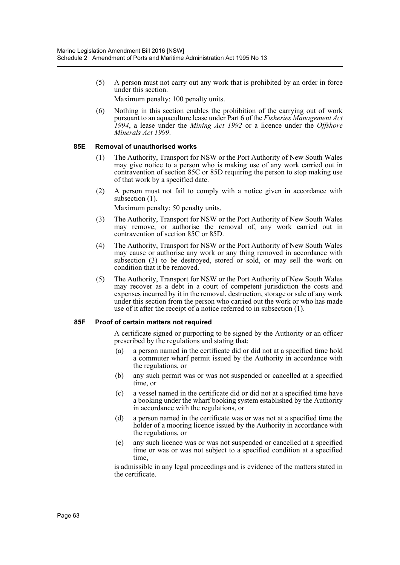(5) A person must not carry out any work that is prohibited by an order in force under this section.

Maximum penalty: 100 penalty units.

(6) Nothing in this section enables the prohibition of the carrying out of work pursuant to an aquaculture lease under Part 6 of the *Fisheries Management Act 1994*, a lease under the *Mining Act 1992* or a licence under the *Offshore Minerals Act 1999*.

# **85E Removal of unauthorised works**

- (1) The Authority, Transport for NSW or the Port Authority of New South Wales may give notice to a person who is making use of any work carried out in contravention of section 85C or 85D requiring the person to stop making use of that work by a specified date.
- (2) A person must not fail to comply with a notice given in accordance with subsection  $(1)$ .

Maximum penalty: 50 penalty units.

- (3) The Authority, Transport for NSW or the Port Authority of New South Wales may remove, or authorise the removal of, any work carried out in contravention of section 85C or 85D.
- (4) The Authority, Transport for NSW or the Port Authority of New South Wales may cause or authorise any work or any thing removed in accordance with subsection (3) to be destroyed, stored or sold, or may sell the work on condition that it be removed.
- (5) The Authority, Transport for NSW or the Port Authority of New South Wales may recover as a debt in a court of competent jurisdiction the costs and expenses incurred by it in the removal, destruction, storage or sale of any work under this section from the person who carried out the work or who has made use of it after the receipt of a notice referred to in subsection (1).

# **85F Proof of certain matters not required**

A certificate signed or purporting to be signed by the Authority or an officer prescribed by the regulations and stating that:

- (a) a person named in the certificate did or did not at a specified time hold a commuter wharf permit issued by the Authority in accordance with the regulations, or
- (b) any such permit was or was not suspended or cancelled at a specified time, or
- (c) a vessel named in the certificate did or did not at a specified time have a booking under the wharf booking system established by the Authority in accordance with the regulations, or
- (d) a person named in the certificate was or was not at a specified time the holder of a mooring licence issued by the Authority in accordance with the regulations, or
- (e) any such licence was or was not suspended or cancelled at a specified time or was or was not subject to a specified condition at a specified time,

is admissible in any legal proceedings and is evidence of the matters stated in the certificate.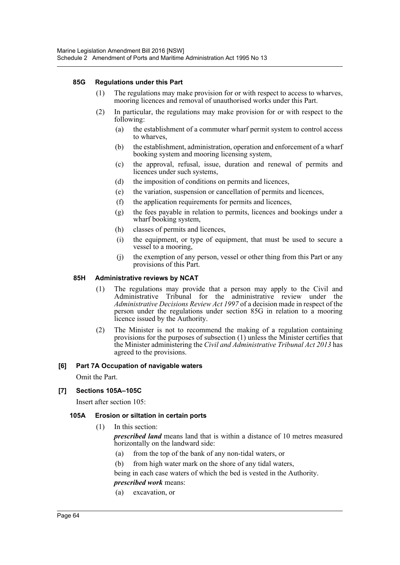# **85G Regulations under this Part**

- (1) The regulations may make provision for or with respect to access to wharves, mooring licences and removal of unauthorised works under this Part.
- (2) In particular, the regulations may make provision for or with respect to the following:
	- (a) the establishment of a commuter wharf permit system to control access to wharves,
	- (b) the establishment, administration, operation and enforcement of a wharf booking system and mooring licensing system,
	- (c) the approval, refusal, issue, duration and renewal of permits and licences under such systems,
	- (d) the imposition of conditions on permits and licences,
	- (e) the variation, suspension or cancellation of permits and licences,
	- (f) the application requirements for permits and licences,
	- (g) the fees payable in relation to permits, licences and bookings under a wharf booking system,
	- (h) classes of permits and licences,
	- (i) the equipment, or type of equipment, that must be used to secure a vessel to a mooring,
	- (j) the exemption of any person, vessel or other thing from this Part or any provisions of this Part.

#### **85H Administrative reviews by NCAT**

- (1) The regulations may provide that a person may apply to the Civil and Administrative Tribunal for the administrative review under the *Administrative Decisions Review Act 1997* of a decision made in respect of the person under the regulations under section 85G in relation to a mooring licence issued by the Authority.
- (2) The Minister is not to recommend the making of a regulation containing provisions for the purposes of subsection (1) unless the Minister certifies that the Minister administering the *Civil and Administrative Tribunal Act 2013* has agreed to the provisions.

# **[6] Part 7A Occupation of navigable waters**

Omit the Part.

# **[7] Sections 105A–105C**

Insert after section 105:

# **105A Erosion or siltation in certain ports**

(1) In this section:

*prescribed land* means land that is within a distance of 10 metres measured horizontally on the landward side:

- (a) from the top of the bank of any non-tidal waters, or
- (b) from high water mark on the shore of any tidal waters,

being in each case waters of which the bed is vested in the Authority.

# *prescribed work* means:

(a) excavation, or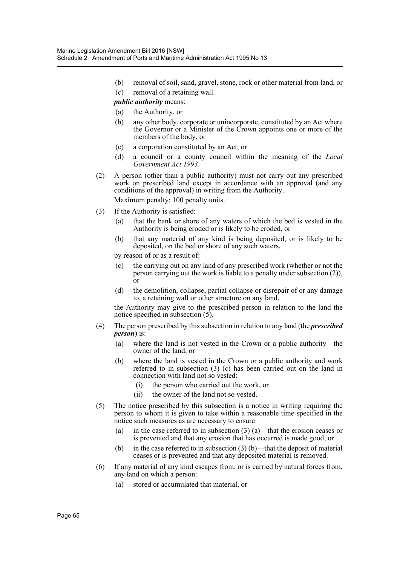(b) removal of soil, sand, gravel, stone, rock or other material from land, or (c) removal of a retaining wall.

# *public authority* means:

- (a) the Authority, or
- (b) any other body, corporate or unincorporate, constituted by an Act where the Governor or a Minister of the Crown appoints one or more of the members of the body, or
- (c) a corporation constituted by an Act, or
- (d) a council or a county council within the meaning of the *Local Government Act 1993*.
- (2) A person (other than a public authority) must not carry out any prescribed work on prescribed land except in accordance with an approval (and any conditions of the approval) in writing from the Authority.

Maximum penalty: 100 penalty units.

- (3) If the Authority is satisfied:
	- (a) that the bank or shore of any waters of which the bed is vested in the Authority is being eroded or is likely to be eroded, or
	- (b) that any material of any kind is being deposited, or is likely to be deposited, on the bed or shore of any such waters,

by reason of or as a result of:

- (c) the carrying out on any land of any prescribed work (whether or not the person carrying out the work is liable to a penalty under subsection (2)), or
- (d) the demolition, collapse, partial collapse or disrepair of or any damage to, a retaining wall or other structure on any land,

the Authority may give to the prescribed person in relation to the land the notice specified in subsection  $(5)$ .

- (4) The person prescribed by this subsection in relation to any land (the *prescribed person*) is:
	- (a) where the land is not vested in the Crown or a public authority—the owner of the land, or
	- (b) where the land is vested in the Crown or a public authority and work referred to in subsection (3) (c) has been carried out on the land in connection with land not so vested:
		- (i) the person who carried out the work, or
		- (ii) the owner of the land not so vested.
- (5) The notice prescribed by this subsection is a notice in writing requiring the person to whom it is given to take within a reasonable time specified in the notice such measures as are necessary to ensure:
	- (a) in the case referred to in subsection (3) (a)—that the erosion ceases or is prevented and that any erosion that has occurred is made good, or
	- (b) in the case referred to in subsection  $(3)$  (b)—that the deposit of material ceases or is prevented and that any deposited material is removed.
- (6) If any material of any kind escapes from, or is carried by natural forces from, any land on which a person:
	- (a) stored or accumulated that material, or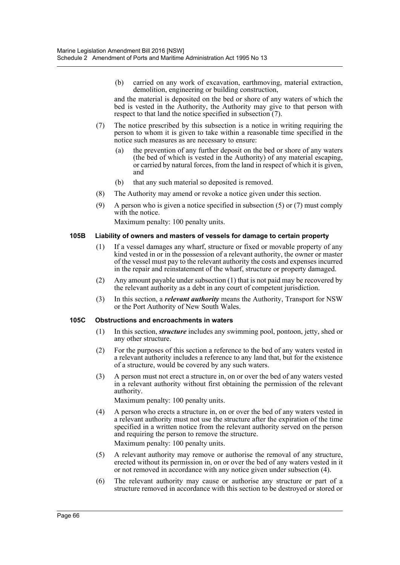(b) carried on any work of excavation, earthmoving, material extraction, demolition, engineering or building construction,

and the material is deposited on the bed or shore of any waters of which the bed is vested in the Authority, the Authority may give to that person with respect to that land the notice specified in subsection (7).

- (7) The notice prescribed by this subsection is a notice in writing requiring the person to whom it is given to take within a reasonable time specified in the notice such measures as are necessary to ensure:
	- (a) the prevention of any further deposit on the bed or shore of any waters (the bed of which is vested in the Authority) of any material escaping, or carried by natural forces, from the land in respect of which it is given, and
	- (b) that any such material so deposited is removed.
- (8) The Authority may amend or revoke a notice given under this section.
- (9) A person who is given a notice specified in subsection (5) or (7) must comply with the notice.

Maximum penalty: 100 penalty units.

#### **105B Liability of owners and masters of vessels for damage to certain property**

- (1) If a vessel damages any wharf, structure or fixed or movable property of any kind vested in or in the possession of a relevant authority, the owner or master of the vessel must pay to the relevant authority the costs and expenses incurred in the repair and reinstatement of the wharf, structure or property damaged.
- (2) Any amount payable under subsection (1) that is not paid may be recovered by the relevant authority as a debt in any court of competent jurisdiction.
- (3) In this section, a *relevant authority* means the Authority, Transport for NSW or the Port Authority of New South Wales.

#### **105C Obstructions and encroachments in waters**

- (1) In this section, *structure* includes any swimming pool, pontoon, jetty, shed or any other structure.
- (2) For the purposes of this section a reference to the bed of any waters vested in a relevant authority includes a reference to any land that, but for the existence of a structure, would be covered by any such waters.
- (3) A person must not erect a structure in, on or over the bed of any waters vested in a relevant authority without first obtaining the permission of the relevant authority.

Maximum penalty: 100 penalty units.

- (4) A person who erects a structure in, on or over the bed of any waters vested in a relevant authority must not use the structure after the expiration of the time specified in a written notice from the relevant authority served on the person and requiring the person to remove the structure. Maximum penalty: 100 penalty units.
- (5) A relevant authority may remove or authorise the removal of any structure, erected without its permission in, on or over the bed of any waters vested in it or not removed in accordance with any notice given under subsection (4).
- (6) The relevant authority may cause or authorise any structure or part of a structure removed in accordance with this section to be destroyed or stored or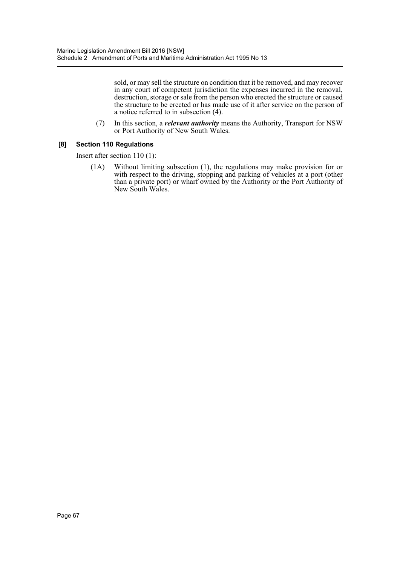sold, or may sell the structure on condition that it be removed, and may recover in any court of competent jurisdiction the expenses incurred in the removal, destruction, storage or sale from the person who erected the structure or caused the structure to be erected or has made use of it after service on the person of a notice referred to in subsection (4).

(7) In this section, a *relevant authority* means the Authority, Transport for NSW or Port Authority of New South Wales.

# **[8] Section 110 Regulations**

Insert after section 110 (1):

(1A) Without limiting subsection (1), the regulations may make provision for or with respect to the driving, stopping and parking of vehicles at a port (other than a private port) or wharf owned by the Authority or the Port Authority of New South Wales.